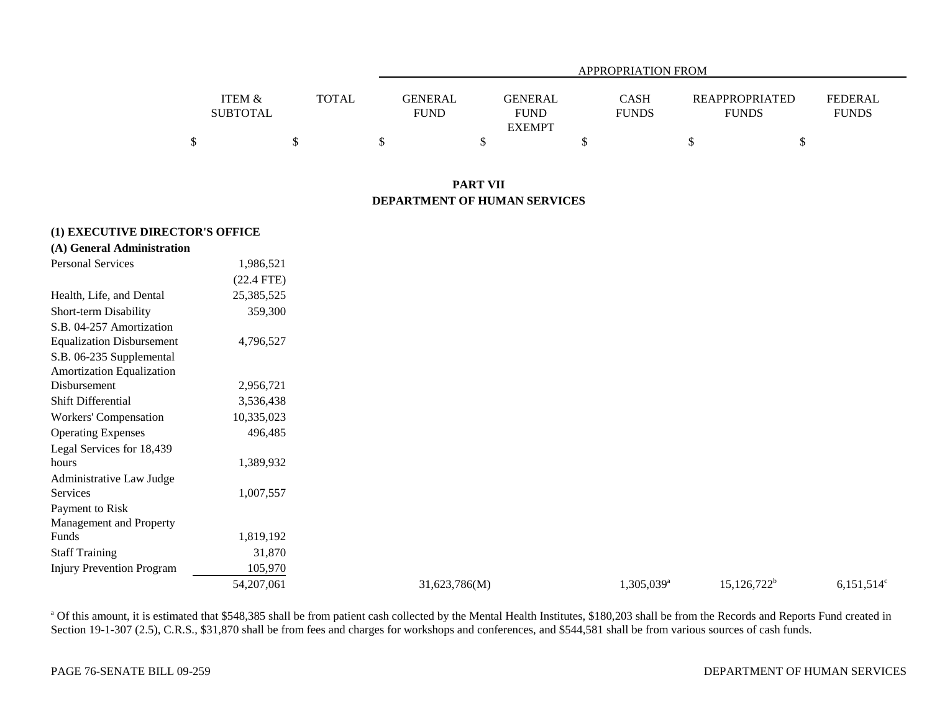|                   |              |                | APPROPRIATION FROM |              |                       |              |  |  |  |  |
|-------------------|--------------|----------------|--------------------|--------------|-----------------------|--------------|--|--|--|--|
| <b>ITEM &amp;</b> | <b>TOTAL</b> | <b>GENERAL</b> | GENERAL            | <b>CASH</b>  | <b>REAPPROPRIATED</b> | FEDERAL      |  |  |  |  |
| <b>SUBTOTAL</b>   |              | <b>FUND</b>    | <b>FUND</b>        | <b>FUNDS</b> | <b>FUNDS</b>          | <b>FUNDS</b> |  |  |  |  |
|                   |              |                | <b>EXEMPT</b>      |              |                       |              |  |  |  |  |
|                   |              |                |                    |              |                       |              |  |  |  |  |

## **PART VII DEPARTMENT OF HUMAN SERVICES**

### **(1) EXECUTIVE DIRECTOR'S OFFICE**

| (A) General Administration                            |              |               |                        |                |               |
|-------------------------------------------------------|--------------|---------------|------------------------|----------------|---------------|
| Personal Services                                     | 1,986,521    |               |                        |                |               |
|                                                       | $(22.4$ FTE) |               |                        |                |               |
| Health, Life, and Dental                              | 25,385,525   |               |                        |                |               |
| Short-term Disability                                 | 359,300      |               |                        |                |               |
| S.B. 04-257 Amortization                              |              |               |                        |                |               |
| <b>Equalization Disbursement</b>                      | 4,796,527    |               |                        |                |               |
| S.B. 06-235 Supplemental<br>Amortization Equalization |              |               |                        |                |               |
| Disbursement                                          | 2,956,721    |               |                        |                |               |
| Shift Differential                                    | 3,536,438    |               |                        |                |               |
| Workers' Compensation                                 | 10,335,023   |               |                        |                |               |
| <b>Operating Expenses</b>                             | 496,485      |               |                        |                |               |
| Legal Services for 18,439                             |              |               |                        |                |               |
| hours                                                 | 1,389,932    |               |                        |                |               |
| Administrative Law Judge                              |              |               |                        |                |               |
| Services                                              | 1,007,557    |               |                        |                |               |
| Payment to Risk<br>Management and Property            |              |               |                        |                |               |
| Funds                                                 | 1,819,192    |               |                        |                |               |
| <b>Staff Training</b>                                 | 31,870       |               |                        |                |               |
| <b>Injury Prevention Program</b>                      | 105,970      |               |                        |                |               |
|                                                       | 54,207,061   | 31,623,786(M) | 1,305,039 <sup>a</sup> | $15,126,722^b$ | $6,151,514$ ° |

<sup>a</sup> Of this amount, it is estimated that \$548,385 shall be from patient cash collected by the Mental Health Institutes, \$180,203 shall be from the Records and Reports Fund created in Section 19-1-307 (2.5), C.R.S., \$31,870 shall be from fees and charges for workshops and conferences, and \$544,581 shall be from various sources of cash funds.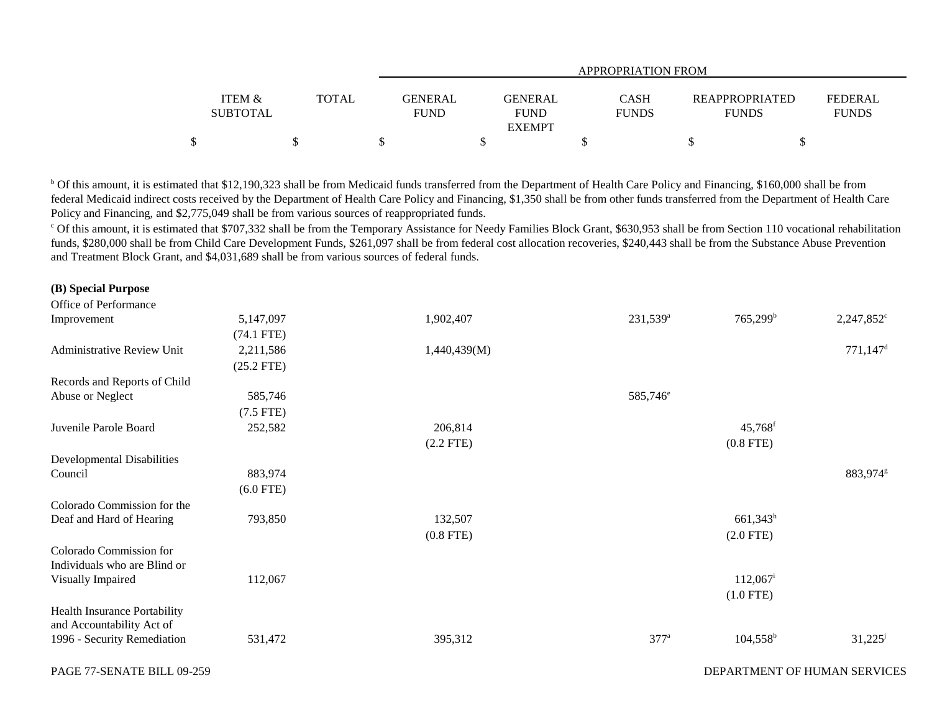|                                      |              |                               | <b>APPROPRIATION FROM</b>                      |                      |                                       |                                |  |  |  |
|--------------------------------------|--------------|-------------------------------|------------------------------------------------|----------------------|---------------------------------------|--------------------------------|--|--|--|
| <b>ITEM &amp;</b><br><b>SUBTOTAL</b> | <b>TOTAL</b> | <b>GENERAL</b><br><b>FUND</b> | <b>GENERAL</b><br><b>FUND</b><br><b>EXEMPT</b> | CASH<br><b>FUNDS</b> | <b>REAPPROPRIATED</b><br><b>FUNDS</b> | <b>FEDERAL</b><br><b>FUNDS</b> |  |  |  |
|                                      |              |                               |                                                |                      |                                       |                                |  |  |  |

b Of this amount, it is estimated that \$12,190,323 shall be from Medicaid funds transferred from the Department of Health Care Policy and Financing, \$160,000 shall be from federal Medicaid indirect costs received by the Department of Health Care Policy and Financing, \$1,350 shall be from other funds transferred from the Department of Health Care Policy and Financing, and \$2,775,049 shall be from various sources of reappropriated funds.

<sup>c</sup> Of this amount, it is estimated that \$707,332 shall be from the Temporary Assistance for Needy Families Block Grant, \$630,953 shall be from Section 110 vocational rehabilitation funds, \$280,000 shall be from Child Care Development Funds, \$261,097 shall be from federal cost allocation recoveries, \$240,443 shall be from the Substance Abuse Prevention and Treatment Block Grant, and \$4,031,689 shall be from various sources of federal funds.

| Office of Performance                                   |              |              |                      |                        |                        |
|---------------------------------------------------------|--------------|--------------|----------------------|------------------------|------------------------|
| Improvement                                             | 5,147,097    | 1,902,407    | $231,539^{\rm a}$    | $765,299^b$            | $2,247,852^{\circ}$    |
|                                                         | $(74.1$ FTE) |              |                      |                        |                        |
| Administrative Review Unit                              | 2,211,586    | 1,440,439(M) |                      |                        | $771,147$ <sup>d</sup> |
|                                                         | $(25.2$ FTE) |              |                      |                        |                        |
| Records and Reports of Child                            |              |              |                      |                        |                        |
| Abuse or Neglect                                        | 585,746      |              | 585,746 <sup>e</sup> |                        |                        |
|                                                         | $(7.5$ FTE)  |              |                      |                        |                        |
| Juvenile Parole Board                                   | 252,582      | 206,814      |                      | $45,768$ <sup>f</sup>  |                        |
|                                                         |              | $(2.2$ FTE)  |                      | $(0.8$ FTE)            |                        |
| <b>Developmental Disabilities</b>                       |              |              |                      |                        |                        |
| Council                                                 | 883,974      |              |                      |                        | 883,974 <sup>g</sup>   |
|                                                         | $(6.0$ FTE)  |              |                      |                        |                        |
| Colorado Commission for the                             |              |              |                      |                        |                        |
| Deaf and Hard of Hearing                                | 793,850      | 132,507      |                      | $661,343^h$            |                        |
|                                                         |              | $(0.8$ FTE)  |                      | $(2.0$ FTE)            |                        |
| Colorado Commission for<br>Individuals who are Blind or |              |              |                      |                        |                        |
| Visually Impaired                                       | 112,067      |              |                      | $112,067$ <sup>i</sup> |                        |
|                                                         |              |              |                      | $(1.0$ FTE)            |                        |
| Health Insurance Portability                            |              |              |                      |                        |                        |
| and Accountability Act of                               |              |              |                      |                        |                        |
| 1996 - Security Remediation                             | 531,472      | 395,312      | $377^a$              | $104,558^{\rm b}$      | $31,225^{\rm j}$       |
|                                                         |              |              |                      |                        |                        |
|                                                         |              |              |                      |                        |                        |

**(B) Special Purpose**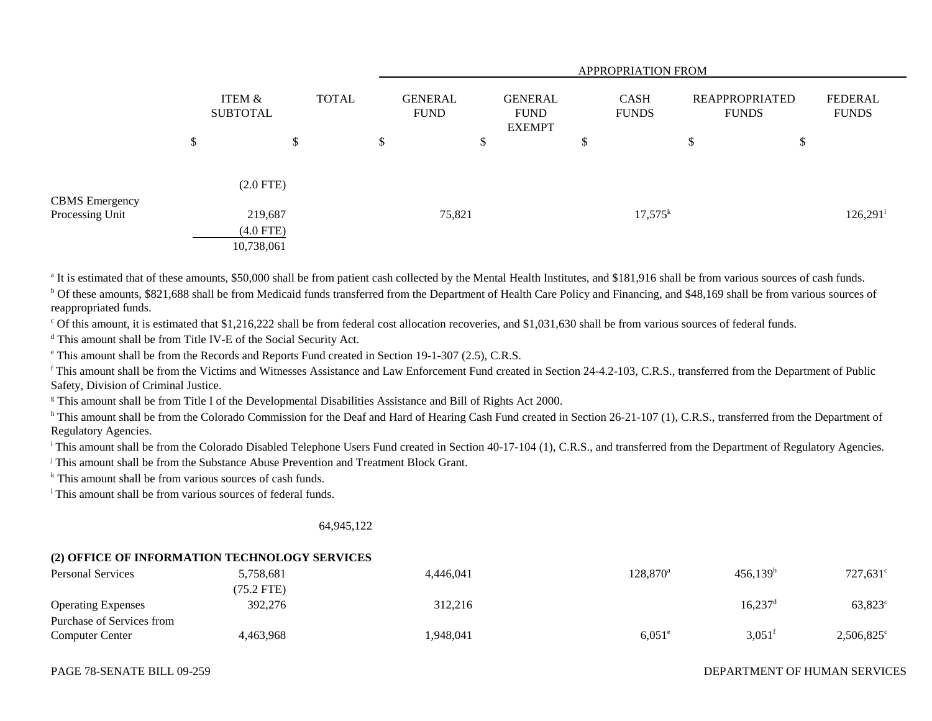|                                   |                           |                                      |              |  | APPROPRIATION FROM            |    |                                                |    |                             |                                       |    |                         |
|-----------------------------------|---------------------------|--------------------------------------|--------------|--|-------------------------------|----|------------------------------------------------|----|-----------------------------|---------------------------------------|----|-------------------------|
|                                   | ITEM &<br><b>SUBTOTAL</b> |                                      | <b>TOTAL</b> |  | <b>GENERAL</b><br><b>FUND</b> |    | <b>GENERAL</b><br><b>FUND</b><br><b>EXEMPT</b> |    | <b>CASH</b><br><b>FUNDS</b> | <b>REAPPROPRIATED</b><br><b>FUNDS</b> |    | FEDERAL<br><b>FUNDS</b> |
|                                   | \$                        |                                      | \$           |  | \$                            | \$ |                                                | \$ |                             | \$                                    | \$ |                         |
|                                   |                           | $(2.0$ FTE $)$                       |              |  |                               |    |                                                |    |                             |                                       |    |                         |
| CBMS Emergency<br>Processing Unit |                           | 219,687<br>$(4.0$ FTE)<br>10,738,061 |              |  | 75,821                        |    |                                                |    | $17,575^k$                  |                                       |    | $126,291$ <sup>1</sup>  |

<sup>a</sup> It is estimated that of these amounts, \$50,000 shall be from patient cash collected by the Mental Health Institutes, and \$181,916 shall be from various sources of cash funds.

<sup>b</sup> Of these amounts, \$821,688 shall be from Medicaid funds transferred from the Department of Health Care Policy and Financing, and \$48,169 shall be from various sources of reappropriated funds.

c Of this amount, it is estimated that \$1,216,222 shall be from federal cost allocation recoveries, and \$1,031,630 shall be from various sources of federal funds.

d This amount shall be from Title IV-E of the Social Security Act.

e This amount shall be from the Records and Reports Fund created in Section 19-1-307 (2.5), C.R.S.

<sup>f</sup> This amount shall be from the Victims and Witnesses Assistance and Law Enforcement Fund created in Section 24-4.2-103, C.R.S., transferred from the Department of Public Safety, Division of Criminal Justice.

g This amount shall be from Title I of the Developmental Disabilities Assistance and Bill of Rights Act 2000.

<sup>h</sup> This amount shall be from the Colorado Commission for the Deaf and Hard of Hearing Cash Fund created in Section 26-21-107 (1), C.R.S., transferred from the Department of Regulatory Agencies.

<sup>i</sup> This amount shall be from the Colorado Disabled Telephone Users Fund created in Section 40-17-104 (1), C.R.S., and transferred from the Department of Regulatory Agencies.

j This amount shall be from the Substance Abuse Prevention and Treatment Block Grant.

<sup>k</sup> This amount shall be from various sources of cash funds.

<sup>1</sup> This amount shall be from various sources of federal funds.

## 64,945,122

### **(2) OFFICE OF INFORMATION TECHNOLOGY SERVICES**

| <b>Personal Services</b>  | 5,758,681    | 4,446,041 | $128.870$ <sup>a</sup> | $456,139^b$           | $727,631^{\circ}$   |
|---------------------------|--------------|-----------|------------------------|-----------------------|---------------------|
|                           | $(75.2$ FTE) |           |                        |                       |                     |
| <b>Operating Expenses</b> | 392,276      | 312,216   |                        | $16,237$ <sup>d</sup> | $63,823^{\circ}$    |
| Purchase of Services from |              |           |                        |                       |                     |
| <b>Computer Center</b>    | 4,463,968    | ,948,041  | $6,051^e$              | $3,051^{\circ}$       | $2,506,825^{\circ}$ |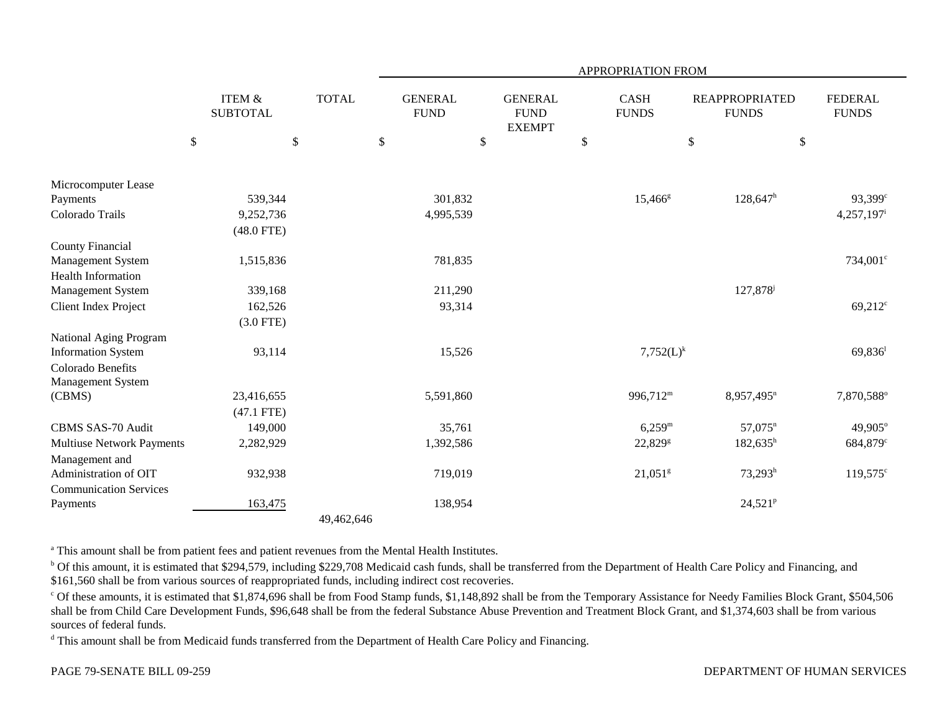|                                  |                                      |              |                               | APPROPRIATION FROM                             |        |                             |                                       |                                |
|----------------------------------|--------------------------------------|--------------|-------------------------------|------------------------------------------------|--------|-----------------------------|---------------------------------------|--------------------------------|
|                                  | <b>ITEM &amp;</b><br><b>SUBTOTAL</b> | <b>TOTAL</b> | <b>GENERAL</b><br><b>FUND</b> | <b>GENERAL</b><br><b>FUND</b><br><b>EXEMPT</b> |        | <b>CASH</b><br><b>FUNDS</b> | <b>REAPPROPRIATED</b><br><b>FUNDS</b> | <b>FEDERAL</b><br><b>FUNDS</b> |
|                                  | \$<br>$\boldsymbol{\mathsf{S}}$      |              | $\$$<br>\$                    |                                                | $\$\,$ |                             | \$                                    | \$                             |
| Microcomputer Lease              |                                      |              |                               |                                                |        |                             |                                       |                                |
| Payments                         | 539,344                              |              | 301,832                       |                                                |        | $15,466$ <sup>g</sup>       | $128,647^h$                           | 93,399 <sup>c</sup>            |
| Colorado Trails                  | 9,252,736                            |              | 4,995,539                     |                                                |        |                             |                                       | 4,257,197                      |
|                                  | $(48.0$ FTE)                         |              |                               |                                                |        |                             |                                       |                                |
| <b>County Financial</b>          |                                      |              |                               |                                                |        |                             |                                       |                                |
| Management System                | 1,515,836                            |              | 781,835                       |                                                |        |                             |                                       | 734,001 <sup>c</sup>           |
| <b>Health Information</b>        |                                      |              |                               |                                                |        |                             |                                       |                                |
| Management System                | 339,168                              |              | 211,290                       |                                                |        |                             | 127,878 <sup>j</sup>                  |                                |
| Client Index Project             | 162,526                              |              | 93,314                        |                                                |        |                             |                                       | $69,212$ <sup>c</sup>          |
|                                  | $(3.0$ FTE)                          |              |                               |                                                |        |                             |                                       |                                |
| National Aging Program           |                                      |              |                               |                                                |        |                             |                                       |                                |
| <b>Information System</b>        | 93,114                               |              | 15,526                        |                                                |        | $7,752(L)^k$                |                                       | $69,836$ <sup>1</sup>          |
| Colorado Benefits                |                                      |              |                               |                                                |        |                             |                                       |                                |
| Management System                |                                      |              |                               |                                                |        |                             |                                       |                                |
| (CBMS)                           | 23,416,655                           |              | 5,591,860                     |                                                |        | 996,712 <sup>m</sup>        | 8,957,495 <sup>n</sup>                | 7,870,588°                     |
|                                  | $(47.1$ FTE)                         |              |                               |                                                |        |                             |                                       |                                |
| CBMS SAS-70 Audit                | 149,000                              |              | 35,761                        |                                                |        | $6,259^{\rm m}$             | $57,075$ <sup>n</sup>                 | 49,905°                        |
| <b>Multiuse Network Payments</b> | 2,282,929                            |              | 1,392,586                     |                                                |        | 22,829 <sup>g</sup>         | $182,635^h$                           | 684,879 <sup>c</sup>           |
| Management and                   |                                      |              |                               |                                                |        |                             |                                       |                                |
| Administration of OIT            | 932,938                              |              | 719,019                       |                                                |        | $21,051$ <sup>g</sup>       | $73,293^h$                            | $119,575^{\circ}$              |
| <b>Communication Services</b>    |                                      |              |                               |                                                |        |                             |                                       |                                |
| Payments                         | 163,475                              |              | 138,954                       |                                                |        |                             | $24,521^p$                            |                                |
|                                  |                                      | 49,462,646   |                               |                                                |        |                             |                                       |                                |

<sup>a</sup> This amount shall be from patient fees and patient revenues from the Mental Health Institutes.

<sup>b</sup> Of this amount, it is estimated that \$294,579, including \$229,708 Medicaid cash funds, shall be transferred from the Department of Health Care Policy and Financing, and \$161,560 shall be from various sources of reappropriated funds, including indirect cost recoveries.

<sup>c</sup> Of these amounts, it is estimated that \$1,874,696 shall be from Food Stamp funds, \$1,148,892 shall be from the Temporary Assistance for Needy Families Block Grant, \$504,506 shall be from Child Care Development Funds, \$96,648 shall be from the federal Substance Abuse Prevention and Treatment Block Grant, and \$1,374,603 shall be from various sources of federal funds.

<sup>d</sup> This amount shall be from Medicaid funds transferred from the Department of Health Care Policy and Financing.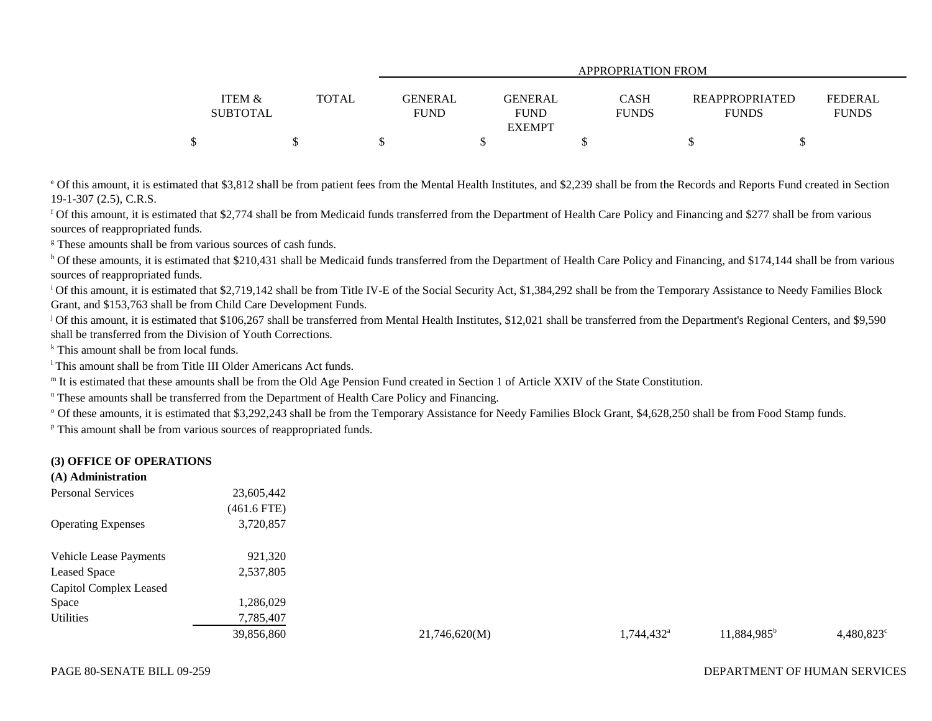|                   |              | APPROPRIATION FROM |                |  |              |                       |  |                |
|-------------------|--------------|--------------------|----------------|--|--------------|-----------------------|--|----------------|
| <b>ITEM &amp;</b> | <b>TOTAL</b> | <b>GENERAL</b>     | <b>GENERAL</b> |  | <b>CASH</b>  | <b>REAPPROPRIATED</b> |  | <b>FEDERAL</b> |
| <b>SUBTOTAL</b>   |              | <b>FUND</b>        | <b>FUND</b>    |  | <b>FUNDS</b> | <b>FUNDS</b>          |  | <b>FUNDS</b>   |
|                   |              |                    | <b>EXEMPT</b>  |  |              |                       |  |                |
|                   |              |                    |                |  |              |                       |  |                |

<sup>e</sup> Of this amount, it is estimated that \$3,812 shall be from patient fees from the Mental Health Institutes, and \$2,239 shall be from the Records and Reports Fund created in Section 19-1-307 (2.5), C.R.S.

f Of this amount, it is estimated that \$2,774 shall be from Medicaid funds transferred from the Department of Health Care Policy and Financing and \$277 shall be from various sources of reappropriated funds.

<sup>g</sup> These amounts shall be from various sources of cash funds.

<sup>h</sup> Of these amounts, it is estimated that \$210,431 shall be Medicaid funds transferred from the Department of Health Care Policy and Financing, and \$174,144 shall be from various sources of reappropriated funds.

<sup>i</sup> Of this amount, it is estimated that \$2,719,142 shall be from Title IV-E of the Social Security Act, \$1,384,292 shall be from the Temporary Assistance to Needy Families Block Grant, and \$153,763 shall be from Child Care Development Funds.

<sup>j</sup> Of this amount, it is estimated that \$106,267 shall be transferred from Mental Health Institutes, \$12,021 shall be transferred from the Department's Regional Centers, and \$9,590 shall be transferred from the Division of Youth Corrections.

<sup>k</sup> This amount shall be from local funds.

<sup>1</sup> This amount shall be from Title III Older Americans Act funds.

<sup>m</sup> It is estimated that these amounts shall be from the Old Age Pension Fund created in Section 1 of Article XXIV of the State Constitution.

<sup>n</sup> These amounts shall be transferred from the Department of Health Care Policy and Financing.

<sup>o</sup> Of these amounts, it is estimated that \$3,292,243 shall be from the Temporary Assistance for Needy Families Block Grant, \$4,628,250 shall be from Food Stamp funds.

p This amount shall be from various sources of reappropriated funds.

## **(3) OFFICE OF OPERATIONS**

| (A) Administration        |               |
|---------------------------|---------------|
| <b>Personal Services</b>  | 23,605,442    |
|                           | $(461.6$ FTE) |
| <b>Operating Expenses</b> | 3,720,857     |
| Vehicle Lease Payments    | 921,320       |
| <b>Leased Space</b>       | 2,537,805     |
| Capitol Complex Leased    |               |
| Space                     | 1,286,029     |
| <b>Utilities</b>          | 7,785,407     |
|                           | 39,856,860    |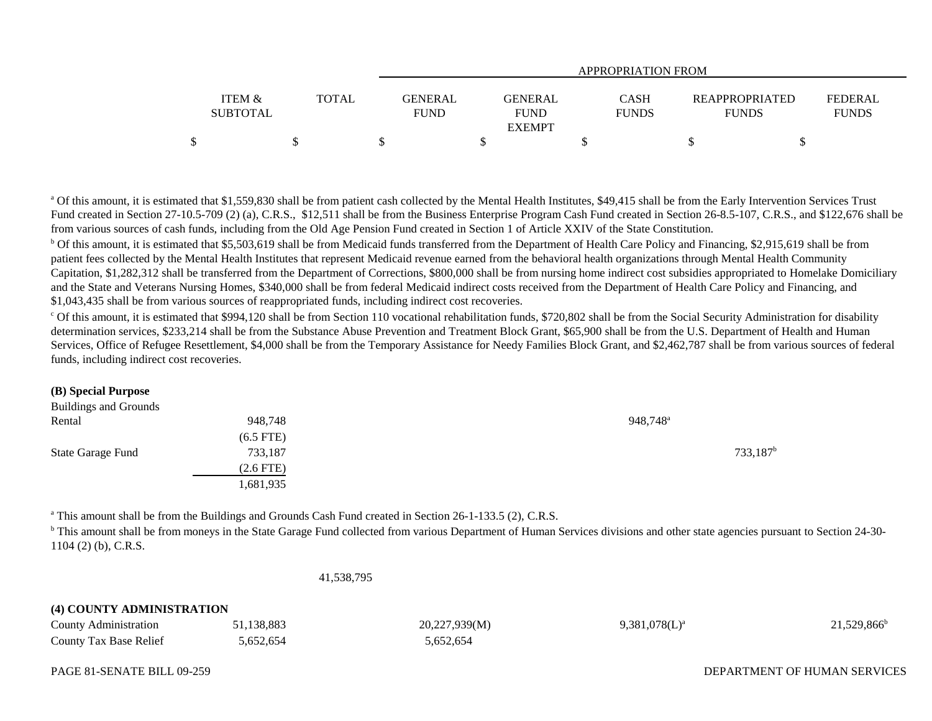|                           |              | APPROPRIATION FROM     |                        |                             |                                       |                                |  |  |  |
|---------------------------|--------------|------------------------|------------------------|-----------------------------|---------------------------------------|--------------------------------|--|--|--|
| ITEM &<br><b>SUBTOTAL</b> | <b>TOTAL</b> | GENERAL<br><b>FUND</b> | GENERAL<br><b>FUND</b> | <b>CASH</b><br><b>FUNDS</b> | <b>REAPPROPRIATED</b><br><b>FUNDS</b> | <b>FEDERAL</b><br><b>FUNDS</b> |  |  |  |
|                           |              |                        | <b>EXEMPT</b>          |                             |                                       |                                |  |  |  |
|                           |              |                        |                        |                             |                                       |                                |  |  |  |

<sup>a</sup> Of this amount, it is estimated that \$1,559,830 shall be from patient cash collected by the Mental Health Institutes, \$49,415 shall be from the Early Intervention Services Trust Fund created in Section 27-10.5-709 (2) (a), C.R.S., \$12,511 shall be from the Business Enterprise Program Cash Fund created in Section 26-8.5-107, C.R.S., and \$122,676 shall be from various sources of cash funds, including from the Old Age Pension Fund created in Section 1 of Article XXIV of the State Constitution.

<sup>b</sup> Of this amount, it is estimated that \$5,503,619 shall be from Medicaid funds transferred from the Department of Health Care Policy and Financing, \$2,915,619 shall be from patient fees collected by the Mental Health Institutes that represent Medicaid revenue earned from the behavioral health organizations through Mental Health Community Capitation, \$1,282,312 shall be transferred from the Department of Corrections, \$800,000 shall be from nursing home indirect cost subsidies appropriated to Homelake Domiciliary and the State and Veterans Nursing Homes, \$340,000 shall be from federal Medicaid indirect costs received from the Department of Health Care Policy and Financing, and \$1,043,435 shall be from various sources of reappropriated funds, including indirect cost recoveries.

 $^{\circ}$  Of this amount, it is estimated that \$994,120 shall be from Section 110 vocational rehabilitation funds, \$720,802 shall be from the Social Security Administration for disability determination services, \$233,214 shall be from the Substance Abuse Prevention and Treatment Block Grant, \$65,900 shall be from the U.S. Department of Health and Human Services, Office of Refugee Resettlement, \$4,000 shall be from the Temporary Assistance for Needy Families Block Grant, and \$2,462,787 shall be from various sources of federal funds, including indirect cost recoveries.

### **(B) Special Purpose**

| 948,748     | 948,748 <sup>a</sup> |
|-------------|----------------------|
| $(6.5$ FTE) |                      |
| 733,187     | 733,187 <sup>b</sup> |
| $(2.6$ FTE) |                      |
| 1,681,935   |                      |
|             |                      |

a This amount shall be from the Buildings and Grounds Cash Fund created in Section 26-1-133.5 (2), C.R.S.

<sup>b</sup> This amount shall be from moneys in the State Garage Fund collected from various Department of Human Services divisions and other state agencies pursuant to Section 24-30-1104 (2) (b), C.R.S.

41,538,795

# **(4) COUNTY ADMINISTRATION**

| County Administration         | .138.883 | 20,227,939(M) | $9,381,078(L)^a$ | $21,529,866^{\circ}$ |
|-------------------------------|----------|---------------|------------------|----------------------|
| <b>County Tax Base Relief</b> | .652,654 | 5,652,654     |                  |                      |

## PAGE 81-SENATE BILL 09-259

## DEPARTMENT OF HUMAN SERVICES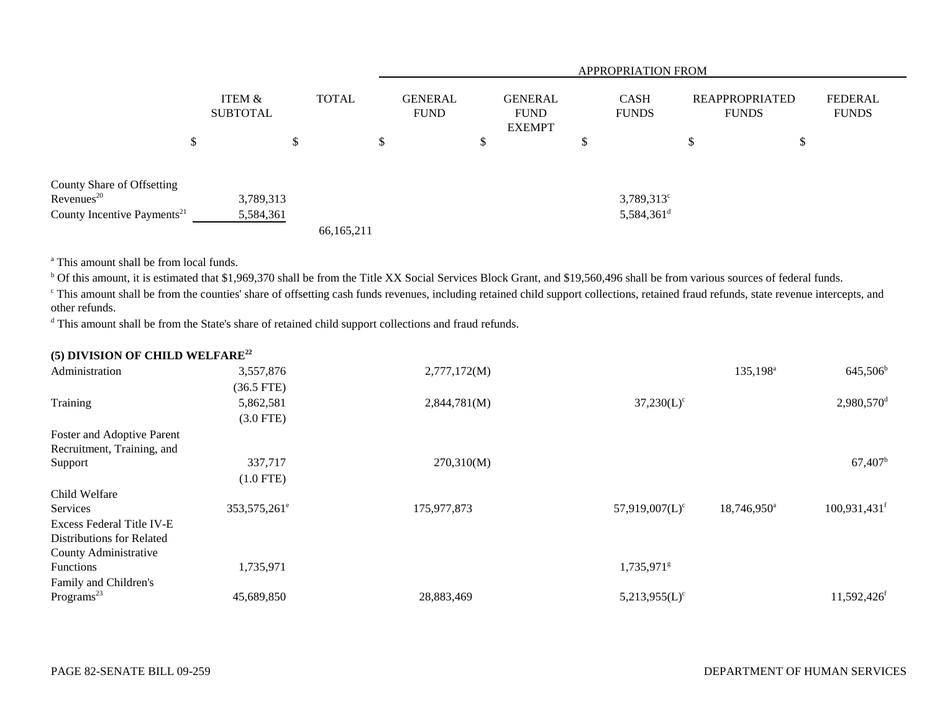|                                                      |                           |    |              | <b>APPROPRIATION FROM</b> |                               |    |                                                |     |                             |                                       |    |                                |  |
|------------------------------------------------------|---------------------------|----|--------------|---------------------------|-------------------------------|----|------------------------------------------------|-----|-----------------------------|---------------------------------------|----|--------------------------------|--|
|                                                      | ITEM &<br><b>SUBTOTAL</b> |    | <b>TOTAL</b> |                           | <b>GENERAL</b><br><b>FUND</b> |    | <b>GENERAL</b><br><b>FUND</b><br><b>EXEMPT</b> |     | <b>CASH</b><br><b>FUNDS</b> | <b>REAPPROPRIATED</b><br><b>FUNDS</b> |    | <b>FEDERAL</b><br><b>FUNDS</b> |  |
|                                                      | \$                        | \$ |              |                           |                               | ۰D |                                                | ъĐ. |                             | ۰D                                    | \$ |                                |  |
| County Share of Offsetting<br>Revenues <sup>20</sup> | 3,789,313                 |    |              |                           |                               |    |                                                |     | $3,789,313^{\circ}$         |                                       |    |                                |  |
| County Incentive Payments <sup>21</sup>              | 5,584,361                 |    | 66,165,211   |                           |                               |    |                                                |     | 5,584,361 <sup>d</sup>      |                                       |    |                                |  |

a This amount shall be from local funds.

<sup>b</sup> Of this amount, it is estimated that \$1,969,370 shall be from the Title XX Social Services Block Grant, and \$19,560,496 shall be from various sources of federal funds.

c This amount shall be from the counties' share of offsetting cash funds revenues, including retained child support collections, retained fraud refunds, state revenue intercepts, and other refunds.

d This amount shall be from the State's share of retained child support collections and fraud refunds.

| (5) DIVISION OF CHILD WELFARE <sup>22</sup> |                            |              |                        |                      |                            |
|---------------------------------------------|----------------------------|--------------|------------------------|----------------------|----------------------------|
| Administration                              | 3,557,876                  | 2,777,172(M) |                        | 135,198 <sup>a</sup> | $645,506^b$                |
|                                             | $(36.5$ FTE)               |              |                        |                      |                            |
| Training                                    | 5,862,581                  | 2,844,781(M) | $37,230(L)^c$          |                      | $2,980,570$ <sup>d</sup>   |
|                                             | $(3.0$ FTE)                |              |                        |                      |                            |
| Foster and Adoptive Parent                  |                            |              |                        |                      |                            |
| Recruitment, Training, and                  |                            |              |                        |                      |                            |
| Support                                     | 337,717                    | 270,310(M)   |                        |                      | $67,407$ <sup>b</sup>      |
|                                             | $(1.0$ FTE)                |              |                        |                      |                            |
| Child Welfare                               |                            |              |                        |                      |                            |
| Services                                    | 353, 575, 261 <sup>e</sup> | 175,977,873  | $57,919,007(L)^c$      | $18,746,950^{\circ}$ | $100,931,431$ <sup>f</sup> |
| Excess Federal Title IV-E                   |                            |              |                        |                      |                            |
| <b>Distributions for Related</b>            |                            |              |                        |                      |                            |
| County Administrative                       |                            |              |                        |                      |                            |
| <b>Functions</b>                            | 1,735,971                  |              | 1,735,971 <sup>g</sup> |                      |                            |
| Family and Children's                       |                            |              |                        |                      |                            |
| Programs <sup>23</sup>                      | 45,689,850                 | 28,883,469   | $5,213,955(L)^c$       |                      | $11,592,426$ <sup>f</sup>  |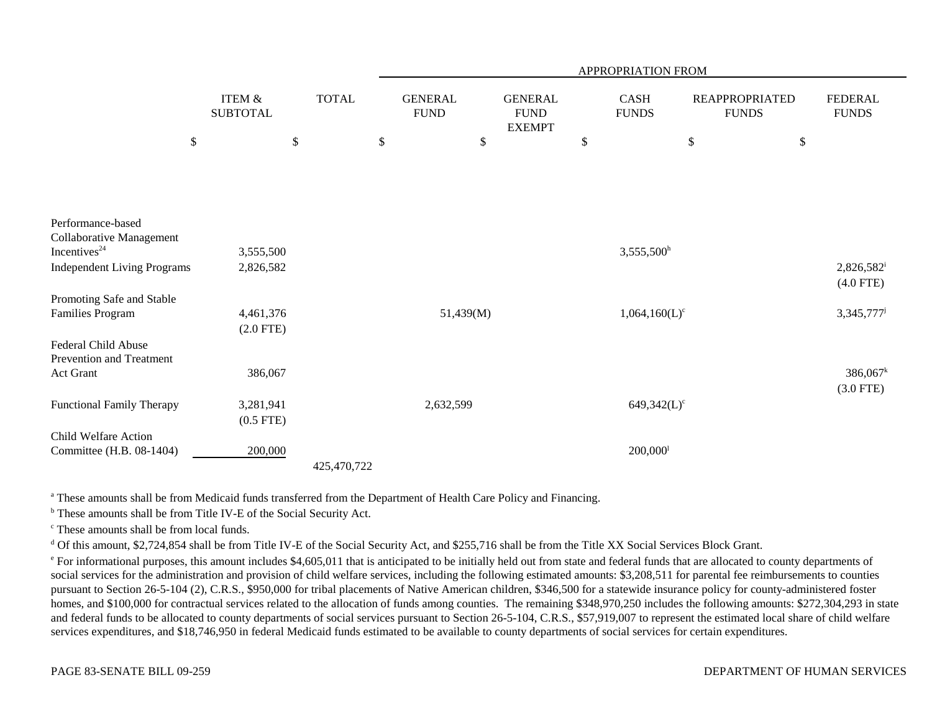|                                               |                                      |              |                               |                                                | APPROPRIATION FROM     |                                       |                                |
|-----------------------------------------------|--------------------------------------|--------------|-------------------------------|------------------------------------------------|------------------------|---------------------------------------|--------------------------------|
|                                               | <b>ITEM &amp;</b><br><b>SUBTOTAL</b> | <b>TOTAL</b> | <b>GENERAL</b><br><b>FUND</b> | <b>GENERAL</b><br><b>FUND</b><br><b>EXEMPT</b> | CASH<br><b>FUNDS</b>   | <b>REAPPROPRIATED</b><br><b>FUNDS</b> | <b>FEDERAL</b><br><b>FUNDS</b> |
| $\boldsymbol{\mathsf{S}}$                     |                                      | \$           | \$                            | \$                                             | $\mathbb{S}$           | $\$$                                  | \$                             |
|                                               |                                      |              |                               |                                                |                        |                                       |                                |
|                                               |                                      |              |                               |                                                |                        |                                       |                                |
|                                               |                                      |              |                               |                                                |                        |                                       |                                |
| Performance-based<br>Collaborative Management |                                      |              |                               |                                                |                        |                                       |                                |
| Incentives <sup>24</sup>                      | 3,555,500                            |              |                               |                                                | 3,555,500h             |                                       |                                |
| <b>Independent Living Programs</b>            | 2,826,582                            |              |                               |                                                |                        |                                       | 2,826,582 <sup>i</sup>         |
|                                               |                                      |              |                               |                                                |                        |                                       | $(4.0$ FTE)                    |
| Promoting Safe and Stable                     |                                      |              |                               |                                                |                        |                                       |                                |
| <b>Families Program</b>                       | 4,461,376                            |              |                               | 51,439(M)                                      | $1,064,160(L)^c$       |                                       | 3,345,777 <sup>j</sup>         |
|                                               | $(2.0$ FTE)                          |              |                               |                                                |                        |                                       |                                |
| <b>Federal Child Abuse</b>                    |                                      |              |                               |                                                |                        |                                       |                                |
| Prevention and Treatment                      |                                      |              |                               |                                                |                        |                                       |                                |
| Act Grant                                     | 386,067                              |              |                               |                                                |                        |                                       | $386,067^k$                    |
|                                               |                                      |              |                               |                                                |                        |                                       | $(3.0$ FTE)                    |
| <b>Functional Family Therapy</b>              | 3,281,941                            |              |                               | 2,632,599                                      |                        | $649,342(L)^c$                        |                                |
|                                               | $(0.5$ FTE)                          |              |                               |                                                |                        |                                       |                                |
| Child Welfare Action                          |                                      |              |                               |                                                |                        |                                       |                                |
| Committee (H.B. 08-1404)                      | 200,000                              |              |                               |                                                | $200,000$ <sup>1</sup> |                                       |                                |
|                                               |                                      | 425,470,722  |                               |                                                |                        |                                       |                                |

<sup>a</sup> These amounts shall be from Medicaid funds transferred from the Department of Health Care Policy and Financing.

b These amounts shall be from Title IV-E of the Social Security Act.

c These amounts shall be from local funds.

<sup>d</sup> Of this amount, \$2,724,854 shall be from Title IV-E of the Social Security Act, and \$255,716 shall be from the Title XX Social Services Block Grant.

<sup>e</sup> For informational purposes, this amount includes \$4,605,011 that is anticipated to be initially held out from state and federal funds that are allocated to county departments of social services for the administration and provision of child welfare services, including the following estimated amounts: \$3,208,511 for parental fee reimbursements to counties pursuant to Section 26-5-104 (2), C.R.S., \$950,000 for tribal placements of Native American children, \$346,500 for a statewide insurance policy for county-administered foster homes, and \$100,000 for contractual services related to the allocation of funds among counties. The remaining \$348,970,250 includes the following amounts: \$272,304,293 in state and federal funds to be allocated to county departments of social services pursuant to Section 26-5-104, C.R.S., \$57,919,007 to represent the estimated local share of child welfare services expenditures, and \$18,746,950 in federal Medicaid funds estimated to be available to county departments of social services for certain expenditures.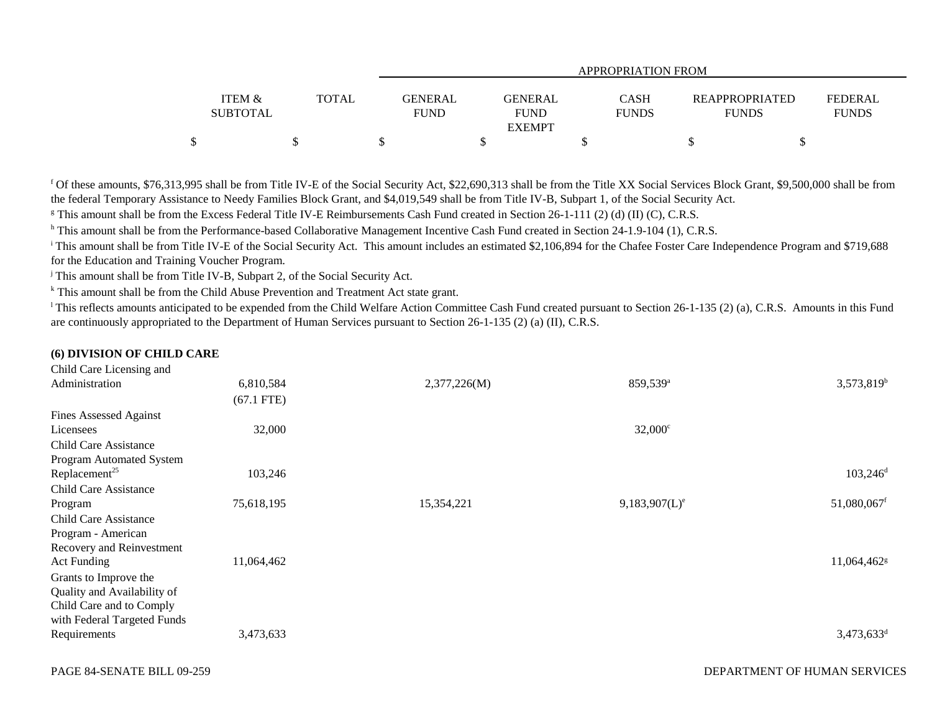|                   |              | APPROPRIATION FROM |               |              |                       |                |  |  |  |  |  |
|-------------------|--------------|--------------------|---------------|--------------|-----------------------|----------------|--|--|--|--|--|
|                   |              |                    |               |              |                       |                |  |  |  |  |  |
| <b>ITEM &amp;</b> | <b>TOTAL</b> | <b>GENERAL</b>     | GENERAL       | <b>CASH</b>  | <b>REAPPROPRIATED</b> | <b>FEDERAL</b> |  |  |  |  |  |
| <b>SUBTOTAL</b>   |              | <b>FUND</b>        | <b>FUND</b>   | <b>FUNDS</b> | <b>FUNDS</b>          | <b>FUNDS</b>   |  |  |  |  |  |
|                   |              |                    | <b>EXEMPT</b> |              |                       |                |  |  |  |  |  |
| \$                |              |                    |               |              |                       |                |  |  |  |  |  |

f Of these amounts, \$76,313,995 shall be from Title IV-E of the Social Security Act, \$22,690,313 shall be from the Title XX Social Services Block Grant, \$9,500,000 shall be from the federal Temporary Assistance to Needy Families Block Grant, and \$4,019,549 shall be from Title IV-B, Subpart 1, of the Social Security Act.

<sup>g</sup> This amount shall be from the Excess Federal Title IV-E Reimbursements Cash Fund created in Section 26-1-111 (2) (d) (II) (C), C.R.S.

h This amount shall be from the Performance-based Collaborative Management Incentive Cash Fund created in Section 24-1.9-104 (1), C.R.S.

<sup>i</sup> This amount shall be from Title IV-E of the Social Security Act. This amount includes an estimated \$2,106,894 for the Chafee Foster Care Independence Program and \$719,688 for the Education and Training Voucher Program.

<sup>j</sup> This amount shall be from Title IV-B, Subpart 2, of the Social Security Act.

<sup>k</sup> This amount shall be from the Child Abuse Prevention and Treatment Act state grant.

<sup>1</sup>This reflects amounts anticipated to be expended from the Child Welfare Action Committee Cash Fund created pursuant to Section 26-1-135 (2) (a), C.R.S. Amounts in this Fund are continuously appropriated to the Department of Human Services pursuant to Section 26-1-135 (2) (a) (II), C.R.S.

## **(6) DIVISION OF CHILD CARE**

 $C<sub>L</sub>$  and  $C<sub>L</sub>$  and  $C<sub>L</sub>$  and  $C<sub>L</sub>$ 

| United Care Licensing and     |              |              |                      |                         |
|-------------------------------|--------------|--------------|----------------------|-------------------------|
| Administration                | 6,810,584    | 2,377,226(M) | 859,539 <sup>a</sup> | $3,573,819^b$           |
|                               | $(67.1$ FTE) |              |                      |                         |
| <b>Fines Assessed Against</b> |              |              |                      |                         |
| Licensees                     | 32,000       |              | $32,000^{\circ}$     |                         |
| <b>Child Care Assistance</b>  |              |              |                      |                         |
| Program Automated System      |              |              |                      |                         |
| Replacement <sup>25</sup>     | 103,246      |              |                      | $103,246$ <sup>d</sup>  |
| <b>Child Care Assistance</b>  |              |              |                      |                         |
| Program                       | 75,618,195   | 15,354,221   | $9,183,907(L)^e$     | 51,080,067f             |
| <b>Child Care Assistance</b>  |              |              |                      |                         |
| Program - American            |              |              |                      |                         |
| Recovery and Reinvestment     |              |              |                      |                         |
| <b>Act Funding</b>            | 11,064,462   |              |                      | 11,064,462 <sup>g</sup> |
| Grants to Improve the         |              |              |                      |                         |
| Quality and Availability of   |              |              |                      |                         |
| Child Care and to Comply      |              |              |                      |                         |
| with Federal Targeted Funds   |              |              |                      |                         |
| Requirements                  | 3,473,633    |              |                      | 3,473,633 <sup>d</sup>  |
|                               |              |              |                      |                         |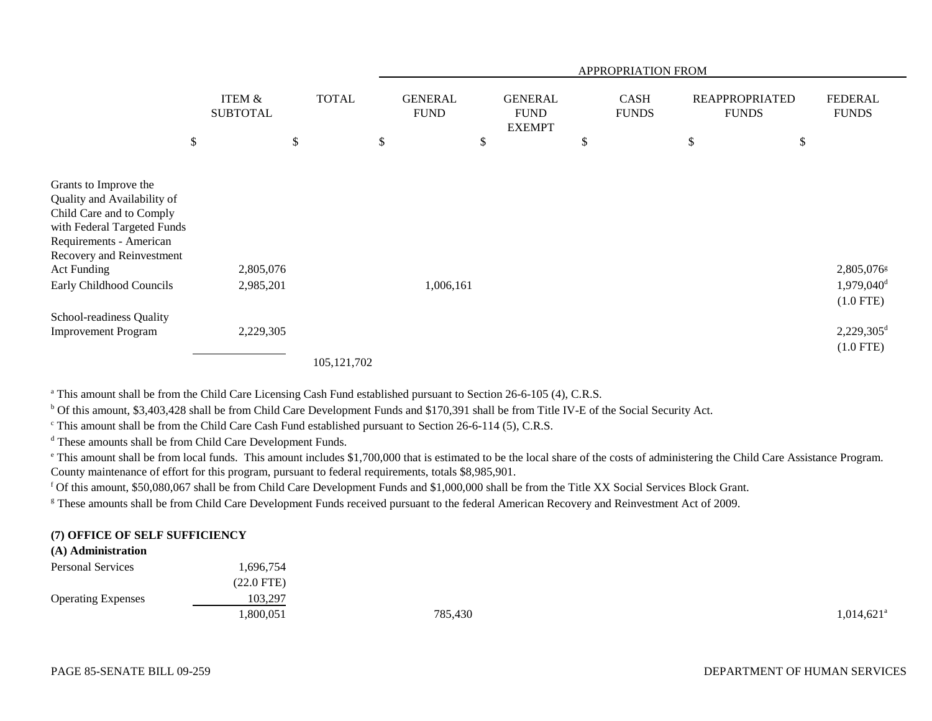|                                                                                                                                                                         |                                      |              |                               |                                                | APPROPRIATION FROM          |                                       |                                                     |
|-------------------------------------------------------------------------------------------------------------------------------------------------------------------------|--------------------------------------|--------------|-------------------------------|------------------------------------------------|-----------------------------|---------------------------------------|-----------------------------------------------------|
|                                                                                                                                                                         | <b>ITEM &amp;</b><br><b>SUBTOTAL</b> | <b>TOTAL</b> | <b>GENERAL</b><br><b>FUND</b> | <b>GENERAL</b><br><b>FUND</b><br><b>EXEMPT</b> | <b>CASH</b><br><b>FUNDS</b> | <b>REAPPROPRIATED</b><br><b>FUNDS</b> | <b>FEDERAL</b><br><b>FUNDS</b>                      |
| \$                                                                                                                                                                      |                                      | \$           | \$                            | \$                                             | \$                          | \$<br>\$                              |                                                     |
| Grants to Improve the<br>Quality and Availability of<br>Child Care and to Comply<br>with Federal Targeted Funds<br>Requirements - American<br>Recovery and Reinvestment |                                      |              |                               |                                                |                             |                                       |                                                     |
| <b>Act Funding</b><br>Early Childhood Councils                                                                                                                          | 2,805,076<br>2,985,201               |              | 1,006,161                     |                                                |                             |                                       | 2,805,076g<br>1,979,040 <sup>d</sup><br>$(1.0$ FTE) |
| School-readiness Quality<br><b>Improvement Program</b>                                                                                                                  | 2,229,305                            | 105.121.702  |                               |                                                |                             |                                       | $2,229,305^d$<br>$(1.0$ FTE)                        |

<sup>a</sup> This amount shall be from the Child Care Licensing Cash Fund established pursuant to Section 26-6-105 (4), C.R.S.

b Of this amount, \$3,403,428 shall be from Child Care Development Funds and \$170,391 shall be from Title IV-E of the Social Security Act.

 $\textdegree$  This amount shall be from the Child Care Cash Fund established pursuant to Section 26-6-114 (5), C.R.S.

d These amounts shall be from Child Care Development Funds.

<sup>e</sup> This amount shall be from local funds. This amount includes \$1,700,000 that is estimated to be the local share of the costs of administering the Child Care Assistance Program. County maintenance of effort for this program, pursuant to federal requirements, totals \$8,985,901.

f Of this amount, \$50,080,067 shall be from Child Care Development Funds and \$1,000,000 shall be from the Title XX Social Services Block Grant.

<sup>g</sup> These amounts shall be from Child Care Development Funds received pursuant to the federal American Recovery and Reinvestment Act of 2009.

## **(7) OFFICE OF SELF SUFFICIENCY**

## **(A) Administration**

| .696,754     |         |                          |
|--------------|---------|--------------------------|
| $(22.0$ FTE) |         |                          |
| 103,297      |         |                          |
| ,800,051     | 785,430 | $1,014,621$ <sup>a</sup> |
|              |         |                          |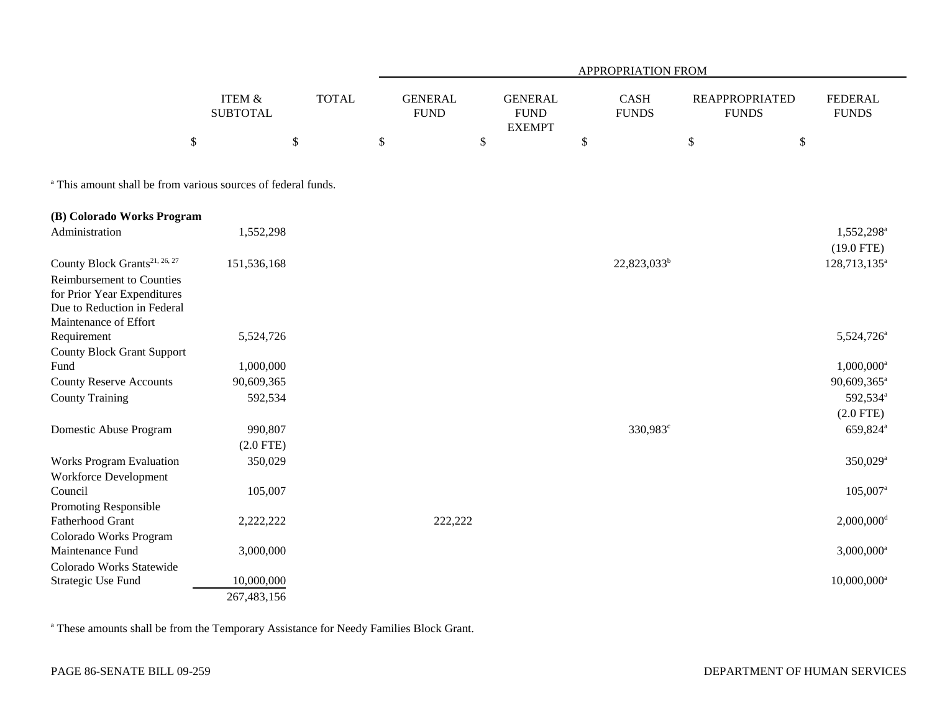|                                                                                                                                                               |                                      |              |                               |              |                                                |              | APPROPRIATION FROM          |                                       |                                        |
|---------------------------------------------------------------------------------------------------------------------------------------------------------------|--------------------------------------|--------------|-------------------------------|--------------|------------------------------------------------|--------------|-----------------------------|---------------------------------------|----------------------------------------|
|                                                                                                                                                               | <b>ITEM &amp;</b><br><b>SUBTOTAL</b> | <b>TOTAL</b> | <b>GENERAL</b><br><b>FUND</b> |              | <b>GENERAL</b><br><b>FUND</b><br><b>EXEMPT</b> |              | <b>CASH</b><br><b>FUNDS</b> | <b>REAPPROPRIATED</b><br><b>FUNDS</b> | <b>FEDERAL</b><br><b>FUNDS</b>         |
| \$                                                                                                                                                            |                                      | \$           | \$                            | $\mathbb{S}$ |                                                | $\mathbb{S}$ |                             | $\boldsymbol{\mathsf{S}}$             | $\mathbb{S}$                           |
| <sup>a</sup> This amount shall be from various sources of federal funds.                                                                                      |                                      |              |                               |              |                                                |              |                             |                                       |                                        |
| (B) Colorado Works Program                                                                                                                                    |                                      |              |                               |              |                                                |              |                             |                                       |                                        |
| Administration                                                                                                                                                | 1,552,298                            |              |                               |              |                                                |              |                             |                                       | 1,552,298 <sup>a</sup><br>$(19.0$ FTE) |
| County Block Grants <sup>21, 26, 27</sup><br>Reimbursement to Counties<br>for Prior Year Expenditures<br>Due to Reduction in Federal<br>Maintenance of Effort | 151,536,168                          |              |                               |              |                                                |              | $22,823,033^b$              |                                       | 128,713,135 <sup>a</sup>               |
| Requirement                                                                                                                                                   | 5,524,726                            |              |                               |              |                                                |              |                             |                                       | 5,524,726 <sup>a</sup>                 |
| <b>County Block Grant Support</b>                                                                                                                             |                                      |              |                               |              |                                                |              |                             |                                       |                                        |
| Fund                                                                                                                                                          | 1,000,000                            |              |                               |              |                                                |              |                             |                                       | 1,000,000 <sup>a</sup>                 |
| <b>County Reserve Accounts</b>                                                                                                                                | 90,609,365                           |              |                               |              |                                                |              |                             |                                       | 90,609,365 <sup>a</sup>                |
| <b>County Training</b>                                                                                                                                        | 592,534                              |              |                               |              |                                                |              |                             |                                       | 592,534 <sup>a</sup>                   |
|                                                                                                                                                               |                                      |              |                               |              |                                                |              |                             |                                       | $(2.0$ FTE)                            |
| Domestic Abuse Program                                                                                                                                        | 990,807                              |              |                               |              |                                                |              | 330,983°                    |                                       | 659,824 <sup>a</sup>                   |
|                                                                                                                                                               | $(2.0$ FTE)                          |              |                               |              |                                                |              |                             |                                       |                                        |
| <b>Works Program Evaluation</b>                                                                                                                               | 350,029                              |              |                               |              |                                                |              |                             |                                       | 350,029 <sup>a</sup>                   |
| Workforce Development<br>Council                                                                                                                              | 105,007                              |              |                               |              |                                                |              |                             |                                       | $105,007$ <sup>a</sup>                 |
| Promoting Responsible                                                                                                                                         |                                      |              |                               |              |                                                |              |                             |                                       |                                        |
| Fatherhood Grant                                                                                                                                              | 2,222,222                            |              | 222,222                       |              |                                                |              |                             |                                       | $2,000,000$ <sup>d</sup>               |
| Colorado Works Program<br>Maintenance Fund                                                                                                                    | 3,000,000                            |              |                               |              |                                                |              |                             |                                       | $3,000,000$ <sup>a</sup>               |
| Colorado Works Statewide                                                                                                                                      |                                      |              |                               |              |                                                |              |                             |                                       |                                        |
| Strategic Use Fund                                                                                                                                            | 10,000,000                           |              |                               |              |                                                |              |                             |                                       | $10,000,000$ <sup>a</sup>              |
|                                                                                                                                                               | 267,483,156                          |              |                               |              |                                                |              |                             |                                       |                                        |

a These amounts shall be from the Temporary Assistance for Needy Families Block Grant.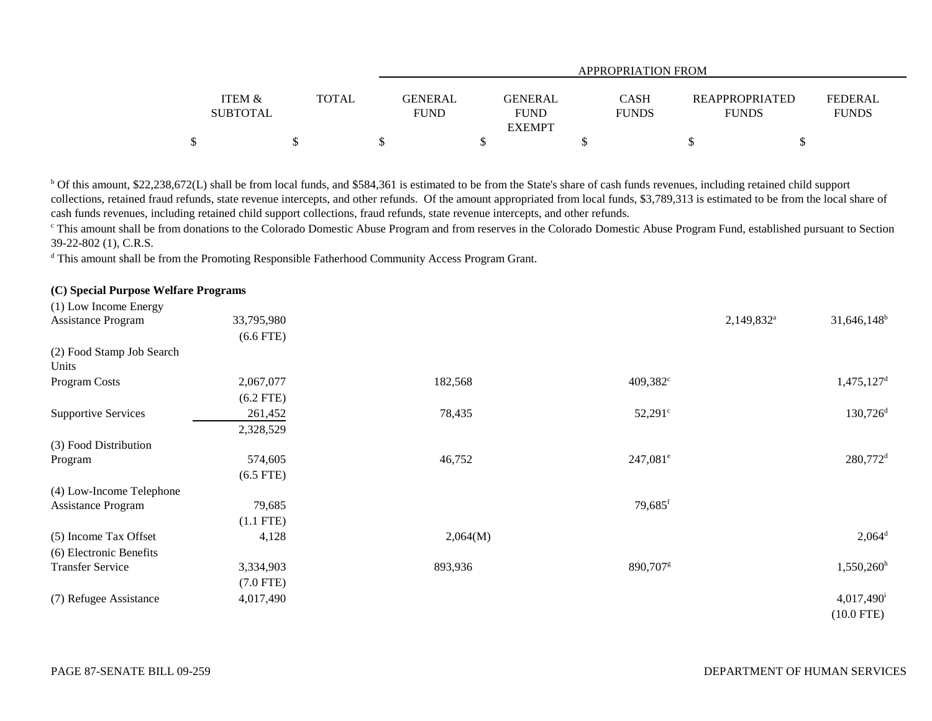|                   |              | APPROPRIATION FROM |                |              |                       |                |  |  |  |  |  |
|-------------------|--------------|--------------------|----------------|--------------|-----------------------|----------------|--|--|--|--|--|
| <b>ITEM &amp;</b> | <b>TOTAL</b> | GENERAL            | <b>GENERAL</b> | <b>CASH</b>  | <b>REAPPROPRIATED</b> | <b>FEDERAL</b> |  |  |  |  |  |
| <b>SUBTOTAL</b>   |              | <b>FUND</b>        | <b>FUND</b>    | <b>FUNDS</b> | <b>FUNDS</b>          | <b>FUNDS</b>   |  |  |  |  |  |
|                   |              |                    | <b>EXEMPT</b>  |              |                       |                |  |  |  |  |  |
|                   |              |                    |                |              |                       |                |  |  |  |  |  |

b Of this amount, \$22,238,672(L) shall be from local funds, and \$584,361 is estimated to be from the State's share of cash funds revenues, including retained child support collections, retained fraud refunds, state revenue intercepts, and other refunds. Of the amount appropriated from local funds, \$3,789,313 is estimated to be from the local share of cash funds revenues, including retained child support collections, fraud refunds, state revenue intercepts, and other refunds.

<sup>c</sup> This amount shall be from donations to the Colorado Domestic Abuse Program and from reserves in the Colorado Domestic Abuse Program Fund, established pursuant to Section 39-22-802 (1), C.R.S.

<sup>d</sup> This amount shall be from the Promoting Responsible Fatherhood Community Access Program Grant.

## **(C) Special Purpose Welfare Programs**

| (1) Low Income Energy              |             |          |                       |                        |                          |
|------------------------------------|-------------|----------|-----------------------|------------------------|--------------------------|
| Assistance Program                 | 33,795,980  |          |                       | 2,149,832 <sup>a</sup> | $31,646,148^b$           |
|                                    | $(6.6$ FTE) |          |                       |                        |                          |
| (2) Food Stamp Job Search<br>Units |             |          |                       |                        |                          |
| Program Costs                      | 2,067,077   | 182,568  | 409,382 <sup>c</sup>  |                        | $1,475,127$ <sup>d</sup> |
|                                    | $(6.2$ FTE) |          |                       |                        |                          |
| <b>Supportive Services</b>         | 261,452     | 78,435   | $52,291^{\circ}$      |                        | $130,726$ <sup>d</sup>   |
|                                    | 2,328,529   |          |                       |                        |                          |
| (3) Food Distribution              |             |          |                       |                        |                          |
| Program                            | 574,605     | 46,752   | $247,081^{\circ}$     |                        | $280,772$ <sup>d</sup>   |
|                                    | $(6.5$ FTE) |          |                       |                        |                          |
| (4) Low-Income Telephone           |             |          |                       |                        |                          |
| <b>Assistance Program</b>          | 79,685      |          | $79,685$ <sup>f</sup> |                        |                          |
|                                    | $(1.1$ FTE) |          |                       |                        |                          |
| (5) Income Tax Offset              | 4,128       | 2,064(M) |                       |                        | $2,064^d$                |
| (6) Electronic Benefits            |             |          |                       |                        |                          |
| <b>Transfer Service</b>            | 3,334,903   | 893,936  | 890,707 <sup>g</sup>  |                        | $1,550,260^{\rm h}$      |
|                                    | $(7.0$ FTE) |          |                       |                        |                          |
| (7) Refugee Assistance             | 4,017,490   |          |                       |                        | $4,017,490$ <sup>i</sup> |
|                                    |             |          |                       |                        | $(10.0$ FTE)             |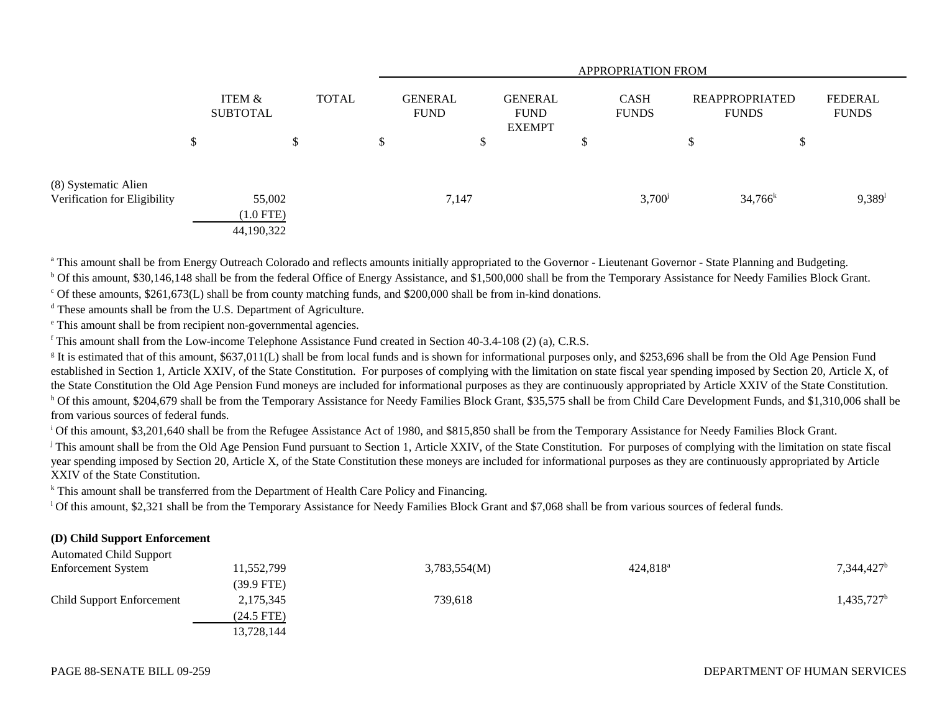|                                                      | <b>APPROPRIATION FROM</b>           |    |              |    |                               |                                                |                             |                 |                                       |            |                         |
|------------------------------------------------------|-------------------------------------|----|--------------|----|-------------------------------|------------------------------------------------|-----------------------------|-----------------|---------------------------------------|------------|-------------------------|
|                                                      | ITEM &<br><b>SUBTOTAL</b>           |    | <b>TOTAL</b> |    | <b>GENERAL</b><br><b>FUND</b> | <b>GENERAL</b><br><b>FUND</b><br><b>EXEMPT</b> | <b>CASH</b><br><b>FUNDS</b> |                 | <b>REAPPROPRIATED</b><br><b>FUNDS</b> |            | FEDERAL<br><b>FUNDS</b> |
|                                                      | \$                                  | \$ |              | \$ |                               | \$                                             | \$                          |                 | $\boldsymbol{\mathsf{S}}$             | Φ          |                         |
| (8) Systematic Alien<br>Verification for Eligibility | 55,002<br>$(1.0$ FTE)<br>44,190,322 |    |              |    | 7,147                         |                                                |                             | $3,700^{\circ}$ |                                       | $34,766^k$ | $9,389$ <sup>1</sup>    |

<sup>a</sup> This amount shall be from Energy Outreach Colorado and reflects amounts initially appropriated to the Governor - Lieutenant Governor - State Planning and Budgeting.

<sup>b</sup> Of this amount, \$30,146,148 shall be from the federal Office of Energy Assistance, and \$1,500,000 shall be from the Temporary Assistance for Needy Families Block Grant.

 $\degree$  Of these amounts, \$261,673(L) shall be from county matching funds, and \$200,000 shall be from in-kind donations.

d These amounts shall be from the U.S. Department of Agriculture.

e This amount shall be from recipient non-governmental agencies.

<sup>f</sup> This amount shall from the Low-income Telephone Assistance Fund created in Section 40-3.4-108 (2) (a), C.R.S.

<sup>g</sup> It is estimated that of this amount, \$637,011(L) shall be from local funds and is shown for informational purposes only, and \$253,696 shall be from the Old Age Pension Fund established in Section 1, Article XXIV, of the State Constitution. For purposes of complying with the limitation on state fiscal year spending imposed by Section 20, Article X, of the State Constitution the Old Age Pension Fund moneys are included for informational purposes as they are continuously appropriated by Article XXIV of the State Constitution. <sup>h</sup> Of this amount, \$204,679 shall be from the Temporary Assistance for Needy Families Block Grant, \$35,575 shall be from Child Care Development Funds, and \$1,310,006 shall be from various sources of federal funds.

<sup>i</sup> Of this amount, \$3,201,640 shall be from the Refugee Assistance Act of 1980, and \$815,850 shall be from the Temporary Assistance for Needy Families Block Grant.

<sup>j</sup> This amount shall be from the Old Age Pension Fund pursuant to Section 1, Article XXIV, of the State Constitution. For purposes of complying with the limitation on state fiscal year spending imposed by Section 20, Article X, of the State Constitution these moneys are included for informational purposes as they are continuously appropriated by Article XXIV of the State Constitution.

<sup>k</sup> This amount shall be transferred from the Department of Health Care Policy and Financing.

<sup>1</sup> Of this amount, \$2,321 shall be from the Temporary Assistance for Needy Families Block Grant and \$7,068 shall be from various sources of federal funds.

#### **(D) Child Support Enforcement**  $\lambda$ utomated Support Support Support Support Support Support Support Support Support Support Support Support Support Support Support Support Support Support Support Support Support Support Support Support Support Support

| Automated Child Support          |              |              |                   |                     |
|----------------------------------|--------------|--------------|-------------------|---------------------|
| <b>Enforcement System</b>        | 11,552,799   | 3,783,554(M) | $424,818^{\circ}$ | $7,344,427^b$       |
|                                  | (39.9 FTE)   |              |                   |                     |
| <b>Child Support Enforcement</b> | 2,175,345    | 739,618      |                   | $1,435,727^{\rm b}$ |
|                                  | $(24.5$ FTE) |              |                   |                     |
|                                  | 13,728,144   |              |                   |                     |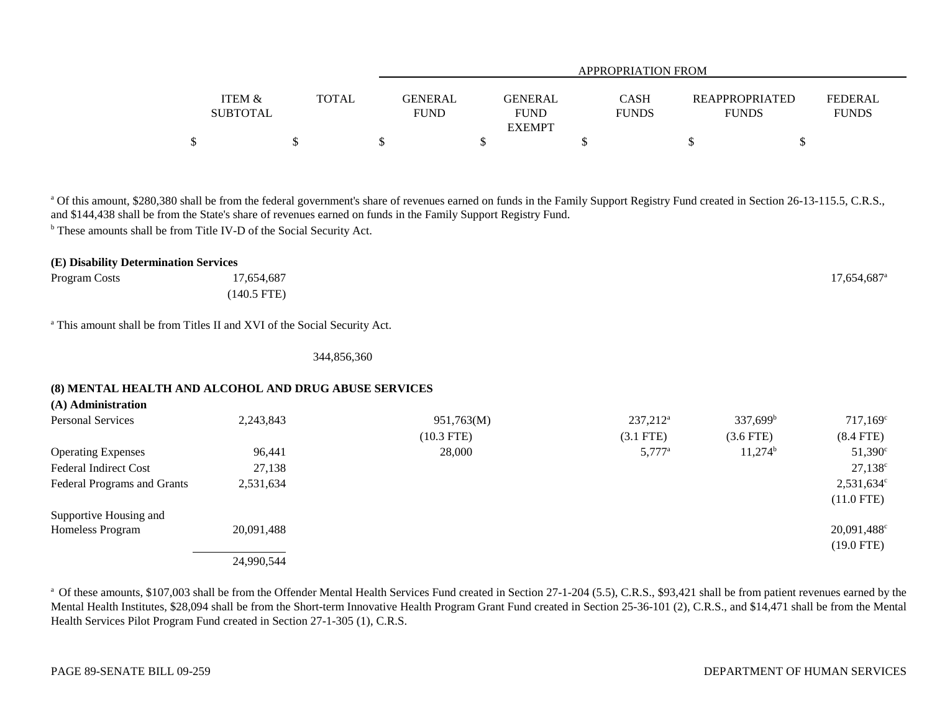|                   |              | <b>APPROPRIATION FROM</b> |                |              |                       |                |  |  |  |
|-------------------|--------------|---------------------------|----------------|--------------|-----------------------|----------------|--|--|--|
| <b>ITEM &amp;</b> | <b>TOTAL</b> | <b>GENERAL</b>            | <b>GENERAL</b> | <b>CASH</b>  | <b>REAPPROPRIATED</b> | <b>FEDERAL</b> |  |  |  |
| <b>SUBTOTAL</b>   |              | <b>FUND</b>               | <b>FUND</b>    | <b>FUNDS</b> | <b>FUNDS</b>          | <b>FUNDS</b>   |  |  |  |
|                   |              |                           | <b>EXEMPT</b>  |              |                       |                |  |  |  |
| \$                |              |                           |                |              |                       |                |  |  |  |

<sup>a</sup> Of this amount, \$280,380 shall be from the federal government's share of revenues earned on funds in the Family Support Registry Fund created in Section 26-13-115.5, C.R.S., and \$144,438 shall be from the State's share of revenues earned on funds in the Family Support Registry Fund.

b These amounts shall be from Title IV-D of the Social Security Act.

| (E) Disability Determination Services |             |                           |
|---------------------------------------|-------------|---------------------------|
| Program Costs                         | 17,654,687  | $17,654,687$ <sup>a</sup> |
|                                       | (140.5 FTE) |                           |

a This amount shall be from Titles II and XVI of the Social Security Act.

344,856,360

## **(8) MENTAL HEALTH AND ALCOHOL AND DRUG ABUSE SERVICES**

| (A) Administration           |            |              |                   |                      |                         |
|------------------------------|------------|--------------|-------------------|----------------------|-------------------------|
| <b>Personal Services</b>     | 2,243,843  | 951,763(M)   | $237,212^{\rm a}$ | 337,699 <sup>b</sup> | $717,169^{\circ}$       |
|                              |            | $(10.3$ FTE) | $(3.1$ FTE)       | $(3.6$ FTE)          | $(8.4$ FTE)             |
| <b>Operating Expenses</b>    | 96,441     | 28,000       | $5,777^{\rm a}$   | $11,274^b$           | $51,390^{\circ}$        |
| <b>Federal Indirect Cost</b> | 27,138     |              |                   |                      | $27,138^{\circ}$        |
| Federal Programs and Grants  | 2,531,634  |              |                   |                      | $2,531,634^c$           |
|                              |            |              |                   |                      | $(11.0$ FTE)            |
| Supportive Housing and       |            |              |                   |                      |                         |
| Homeless Program             | 20,091,488 |              |                   |                      | 20,091,488 <sup>c</sup> |
|                              |            |              |                   |                      | $(19.0$ FTE)            |
|                              | 24,990,544 |              |                   |                      |                         |

<sup>a</sup> Of these amounts, \$107,003 shall be from the Offender Mental Health Services Fund created in Section 27-1-204 (5.5), C.R.S., \$93,421 shall be from patient revenues earned by the Mental Health Institutes, \$28,094 shall be from the Short-term Innovative Health Program Grant Fund created in Section 25-36-101 (2), C.R.S., and \$14,471 shall be from the Mental Health Services Pilot Program Fund created in Section 27-1-305 (1), C.R.S.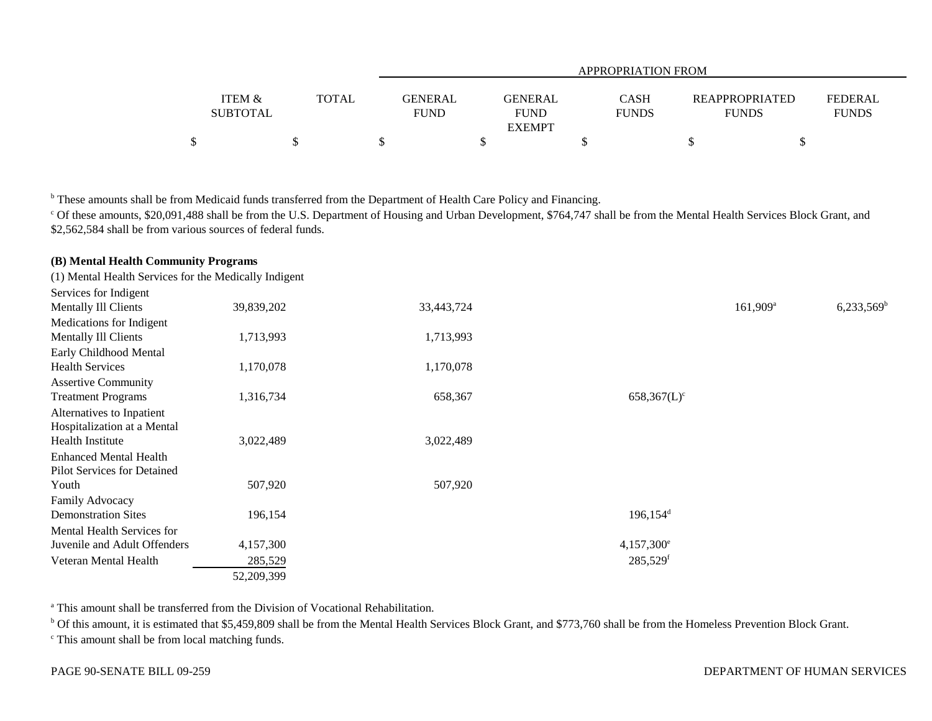|                 |              |                | APPROPRIATION FROM |              |                       |              |  |  |  |  |
|-----------------|--------------|----------------|--------------------|--------------|-----------------------|--------------|--|--|--|--|
| ITEM &          | <b>TOTAL</b> | <b>GENERAL</b> | GENERAL            | <b>CASH</b>  | <b>REAPPROPRIATED</b> | FEDERAL      |  |  |  |  |
| <b>SUBTOTAL</b> |              | <b>FUND</b>    | <b>FUND</b>        | <b>FUNDS</b> | <b>FUNDS</b>          | <b>FUNDS</b> |  |  |  |  |
|                 |              |                | <b>EXEMPT</b>      |              |                       |              |  |  |  |  |
| 關               |              |                |                    |              |                       |              |  |  |  |  |

<sup>b</sup> These amounts shall be from Medicaid funds transferred from the Department of Health Care Policy and Financing.

<sup>c</sup> Of these amounts, \$20,091,488 shall be from the U.S. Department of Housing and Urban Development, \$764,747 shall be from the Mental Health Services Block Grant, and \$2,562,584 shall be from various sources of federal funds.

| (1) Mental Health Services for the Medically Indigent |            |            |                         |                        |                          |
|-------------------------------------------------------|------------|------------|-------------------------|------------------------|--------------------------|
| Services for Indigent                                 |            |            |                         |                        |                          |
| Mentally Ill Clients                                  | 39,839,202 | 33,443,724 |                         | $161,909$ <sup>a</sup> | $6,233,569$ <sup>b</sup> |
| Medications for Indigent                              |            |            |                         |                        |                          |
| Mentally Ill Clients                                  | 1,713,993  | 1,713,993  |                         |                        |                          |
| Early Childhood Mental                                |            |            |                         |                        |                          |
| <b>Health Services</b>                                | 1,170,078  | 1,170,078  |                         |                        |                          |
| <b>Assertive Community</b>                            |            |            |                         |                        |                          |
| <b>Treatment Programs</b>                             | 1,316,734  | 658,367    | $658,367(L)^c$          |                        |                          |
| Alternatives to Inpatient                             |            |            |                         |                        |                          |
| Hospitalization at a Mental                           |            |            |                         |                        |                          |
| <b>Health Institute</b>                               | 3,022,489  | 3,022,489  |                         |                        |                          |
| <b>Enhanced Mental Health</b>                         |            |            |                         |                        |                          |
| Pilot Services for Detained                           |            |            |                         |                        |                          |
| Youth                                                 | 507,920    | 507,920    |                         |                        |                          |
| Family Advocacy                                       |            |            |                         |                        |                          |
| <b>Demonstration Sites</b>                            | 196,154    |            | $196, 154$ <sup>d</sup> |                        |                          |
| Mental Health Services for                            |            |            |                         |                        |                          |
| Juvenile and Adult Offenders                          | 4,157,300  |            | $4,157,300^e$           |                        |                          |
| Veteran Mental Health                                 | 285,529    |            | $285,529$ <sup>f</sup>  |                        |                          |
|                                                       | 52,209,399 |            |                         |                        |                          |

a This amount shall be transferred from the Division of Vocational Rehabilitation.

<sup>b</sup> Of this amount, it is estimated that \$5,459,809 shall be from the Mental Health Services Block Grant, and \$773,760 shall be from the Homeless Prevention Block Grant.

<sup>c</sup> This amount shall be from local matching funds.

**(B) Mental Health Community Programs**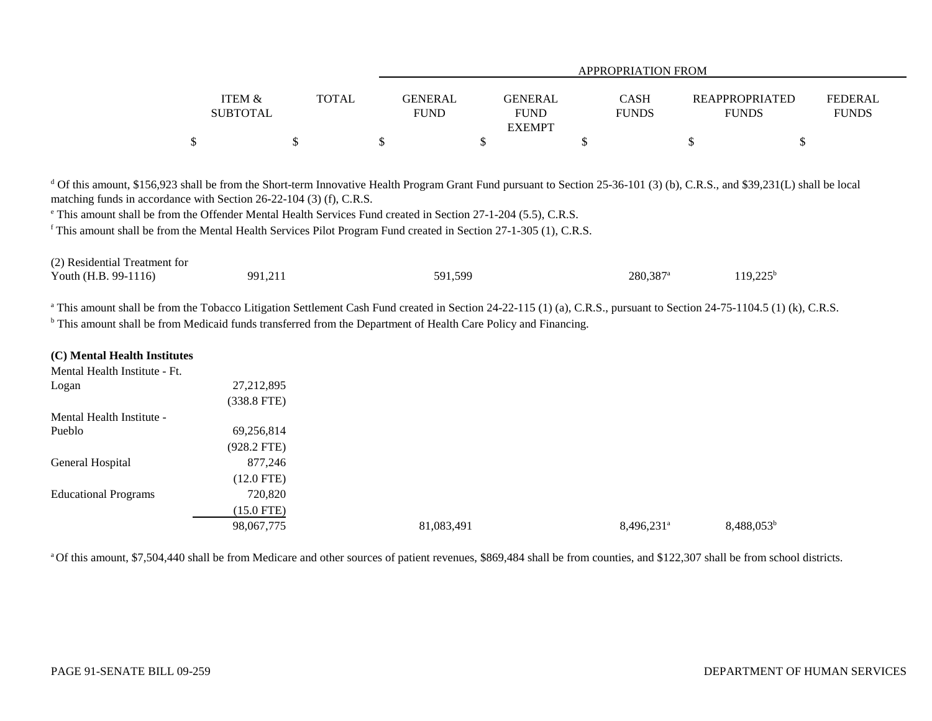|                   |              |                | APPROPRIATION FROM |              |                       |                |  |  |  |
|-------------------|--------------|----------------|--------------------|--------------|-----------------------|----------------|--|--|--|
|                   |              |                |                    |              |                       |                |  |  |  |
| <b>ITEM &amp;</b> | <b>TOTAL</b> | <b>GENERAL</b> | <b>GENERAL</b>     | <b>CASH</b>  | <b>REAPPROPRIATED</b> | <b>FEDERAL</b> |  |  |  |
| <b>SUBTOTAL</b>   |              | <b>FUND</b>    | <b>FUND</b>        | <b>FUNDS</b> | <b>FUNDS</b>          | <b>FUNDS</b>   |  |  |  |
|                   |              |                | <b>EXEMPT</b>      |              |                       |                |  |  |  |
|                   |              |                |                    |              |                       |                |  |  |  |

<sup>d</sup> Of this amount, \$156,923 shall be from the Short-term Innovative Health Program Grant Fund pursuant to Section 25-36-101 (3) (b), C.R.S., and \$39,231(L) shall be local matching funds in accordance with Section 26-22-104 (3) (f), C.R.S.

e This amount shall be from the Offender Mental Health Services Fund created in Section 27-1-204 (5.5), C.R.S.

f This amount shall be from the Mental Health Services Pilot Program Fund created in Section 27-1-305 (1), C.R.S.

| (2) Residential Treatment for |         |         |                      |             |
|-------------------------------|---------|---------|----------------------|-------------|
| Youth $(H.B. 99-1116)$        | 991,211 | 591,599 | 280,387 <sup>a</sup> | $119,225^b$ |

<sup>a</sup> This amount shall be from the Tobacco Litigation Settlement Cash Fund created in Section 24-22-115 (1) (a), C.R.S., pursuant to Section 24-75-1104.5 (1) (k), C.R.S. <sup>b</sup> This amount shall be from Medicaid funds transferred from the Department of Health Care Policy and Financing.

### **(C) Mental Health Institutes**

| Mental Health Institute - Ft. |               |            |                        |               |
|-------------------------------|---------------|------------|------------------------|---------------|
| Logan                         | 27, 212, 895  |            |                        |               |
|                               | $(338.8$ FTE) |            |                        |               |
| Mental Health Institute -     |               |            |                        |               |
| Pueblo                        | 69,256,814    |            |                        |               |
|                               | $(928.2$ FTE) |            |                        |               |
| General Hospital              | 877,246       |            |                        |               |
|                               | $(12.0$ FTE)  |            |                        |               |
| <b>Educational Programs</b>   | 720,820       |            |                        |               |
|                               | $(15.0$ FTE)  |            |                        |               |
|                               | 98,067,775    | 81,083,491 | 8,496,231 <sup>a</sup> | $8,488,053^b$ |

<sup>a</sup> Of this amount, \$7,504,440 shall be from Medicare and other sources of patient revenues, \$869,484 shall be from counties, and \$122,307 shall be from school districts.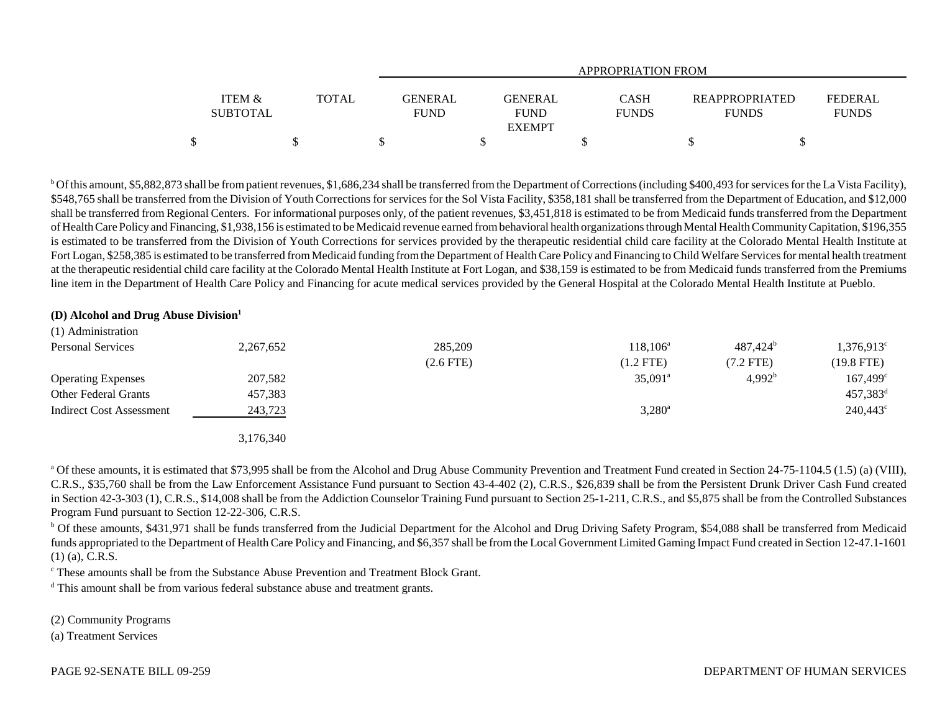|                                      |              | <b>APPROPRIATION FROM</b>     |                                                |                      |                                       |                         |  |  |
|--------------------------------------|--------------|-------------------------------|------------------------------------------------|----------------------|---------------------------------------|-------------------------|--|--|
| <b>ITEM &amp;</b><br><b>SUBTOTAL</b> | <b>TOTAL</b> | <b>GENERAL</b><br><b>FUND</b> | <b>GENERAL</b><br><b>FUND</b><br><b>EXEMPT</b> | CASH<br><b>FUNDS</b> | <b>REAPPROPRIATED</b><br><b>FUNDS</b> | FEDERAL<br><b>FUNDS</b> |  |  |
|                                      |              |                               |                                                |                      |                                       |                         |  |  |

<sup>b</sup> Of this amount, \$5,882,873 shall be from patient revenues, \$1,686,234 shall be transferred from the Department of Corrections (including \$400,493 for services for the La Vista Facility), \$548,765 shall be transferred from the Division of Youth Corrections for services for the Sol Vista Facility, \$358,181 shall be transferred from the Department of Education, and \$12,000 shall be transferred from Regional Centers. For informational purposes only, of the patient revenues, \$3,451,818 is estimated to be from Medicaid funds transferred from the Department of Health Care Policy and Financing, \$1,938,156 is estimated to be Medicaid revenue earned from behavioral health organizations through Mental Health Community Capitation, \$196,355 is estimated to be transferred from the Division of Youth Corrections for services provided by the therapeutic residential child care facility at the Colorado Mental Health Institute at Fort Logan, \$258,385 is estimated to be transferred from Medicaid funding from the Department of Health Care Policy and Financing to Child Welfare Services for mental health treatment at the therapeutic residential child care facility at the Colorado Mental Health Institute at Fort Logan, and \$38,159 is estimated to be from Medicaid funds transferred from the Premiums line item in the Department of Health Care Policy and Financing for acute medical services provided by the General Hospital at the Colorado Mental Health Institute at Pueblo.

## **(D) Alcohol and Drug Abuse Division<sup>1</sup>**

| (1) Administration          |           |                |                       |                    |                        |
|-----------------------------|-----------|----------------|-----------------------|--------------------|------------------------|
| <b>Personal Services</b>    | 2,267,652 | 285,209        | $118, 106^{\rm a}$    | $487,424^b$        | $1,376,913^c$          |
|                             |           | $(2.6$ FTE $)$ | $(1.2$ FTE)           | (7.2 FTE)          | $(19.8$ FTE)           |
| <b>Operating Expenses</b>   | 207,582   |                | $35,091$ <sup>a</sup> | 4,992 <sup>b</sup> | $167,499^{\circ}$      |
| <b>Other Federal Grants</b> | 457,383   |                |                       |                    | $457,383$ <sup>d</sup> |
| Indirect Cost Assessment    | 243,723   |                | $3,280^{\rm a}$       |                    | $240,443^{\circ}$      |
|                             | 3,176,340 |                |                       |                    |                        |

<sup>a</sup> Of these amounts, it is estimated that \$73,995 shall be from the Alcohol and Drug Abuse Community Prevention and Treatment Fund created in Section 24-75-1104.5 (1.5) (a) (VIII), C.R.S., \$35,760 shall be from the Law Enforcement Assistance Fund pursuant to Section 43-4-402 (2), C.R.S., \$26,839 shall be from the Persistent Drunk Driver Cash Fund created in Section 42-3-303 (1), C.R.S., \$14,008 shall be from the Addiction Counselor Training Fund pursuant to Section 25-1-211, C.R.S., and \$5,875 shall be from the Controlled Substances Program Fund pursuant to Section 12-22-306, C.R.S.

<sup>b</sup> Of these amounts, \$431,971 shall be funds transferred from the Judicial Department for the Alcohol and Drug Driving Safety Program, \$54,088 shall be transferred from Medicaid funds appropriated to the Department of Health Care Policy and Financing, and \$6,357 shall be from the Local Government Limited Gaming Impact Fund created in Section 12-47.1-1601 (1) (a), C.R.S.

c These amounts shall be from the Substance Abuse Prevention and Treatment Block Grant.

<sup>d</sup> This amount shall be from various federal substance abuse and treatment grants.

(2) Community Programs

(a) Treatment Services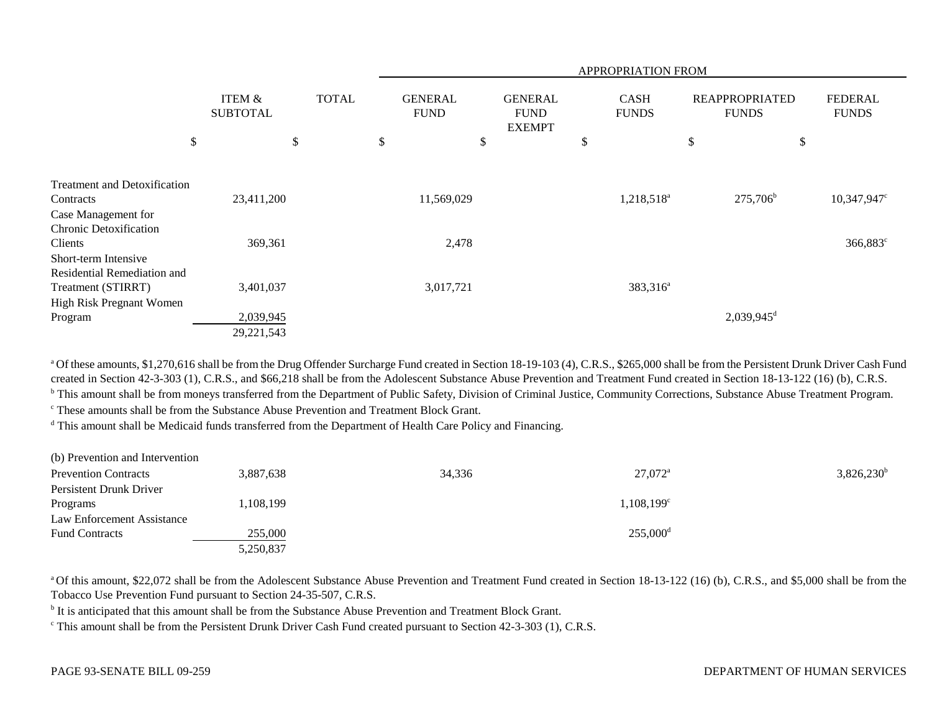|                                                                |                                      |              | <b>APPROPRIATION FROM</b>     |                                                |                             |                                       |                                |
|----------------------------------------------------------------|--------------------------------------|--------------|-------------------------------|------------------------------------------------|-----------------------------|---------------------------------------|--------------------------------|
|                                                                | <b>ITEM &amp;</b><br><b>SUBTOTAL</b> | <b>TOTAL</b> | <b>GENERAL</b><br><b>FUND</b> | <b>GENERAL</b><br><b>FUND</b><br><b>EXEMPT</b> | <b>CASH</b><br><b>FUNDS</b> | <b>REAPPROPRIATED</b><br><b>FUNDS</b> | <b>FEDERAL</b><br><b>FUNDS</b> |
| \$                                                             | \$                                   |              | \$                            | \$                                             | \$                          | \$<br>\$                              |                                |
| <b>Treatment and Detoxification</b><br>Contracts               | 23,411,200                           |              | 11,569,029                    |                                                | 1,218,518 <sup>a</sup>      | $275,706^{\rm b}$                     | $10,347,947$ °                 |
| Case Management for<br><b>Chronic Detoxification</b>           |                                      |              |                               |                                                |                             |                                       |                                |
| Clients<br>Short-term Intensive<br>Residential Remediation and | 369,361                              |              | 2,478                         |                                                |                             |                                       | 366,883 <sup>c</sup>           |
| Treatment (STIRRT)<br>High Risk Pregnant Women                 | 3,401,037                            |              | 3,017,721                     |                                                | 383,316 <sup>a</sup>        |                                       |                                |
| Program                                                        | 2,039,945<br>29,221,543              |              |                               |                                                |                             | $2,039,945$ <sup>d</sup>              |                                |
|                                                                |                                      |              |                               |                                                |                             |                                       |                                |

<sup>a</sup> Of these amounts, \$1,270,616 shall be from the Drug Offender Surcharge Fund created in Section 18-19-103 (4), C.R.S., \$265,000 shall be from the Persistent Drunk Driver Cash Fund created in Section 42-3-303 (1), C.R.S., and \$66,218 shall be from the Adolescent Substance Abuse Prevention and Treatment Fund created in Section 18-13-122 (16) (b), C.R.S. <sup>b</sup> This amount shall be from moneys transferred from the Department of Public Safety, Division of Criminal Justice, Community Corrections, Substance Abuse Treatment Program.

c These amounts shall be from the Substance Abuse Prevention and Treatment Block Grant.

<sup>d</sup> This amount shall be Medicaid funds transferred from the Department of Health Care Policy and Financing.

| (b) Prevention and Intervention |           |        |                        |               |
|---------------------------------|-----------|--------|------------------------|---------------|
| <b>Prevention Contracts</b>     | 3.887.638 | 34,336 | $27,072^{\rm a}$       | $3,826,230^b$ |
| Persistent Drunk Driver         |           |        |                        |               |
| Programs                        | ,108,199  |        | $1,108,199^{\circ}$    |               |
| Law Enforcement Assistance      |           |        |                        |               |
| <b>Fund Contracts</b>           | 255,000   |        | $255,000$ <sup>d</sup> |               |
|                                 | 5,250,837 |        |                        |               |

<sup>a</sup> Of this amount, \$22,072 shall be from the Adolescent Substance Abuse Prevention and Treatment Fund created in Section 18-13-122 (16) (b), C.R.S., and \$5,000 shall be from the Tobacco Use Prevention Fund pursuant to Section 24-35-507, C.R.S.

<sup>b</sup> It is anticipated that this amount shall be from the Substance Abuse Prevention and Treatment Block Grant.

c This amount shall be from the Persistent Drunk Driver Cash Fund created pursuant to Section 42-3-303 (1), C.R.S.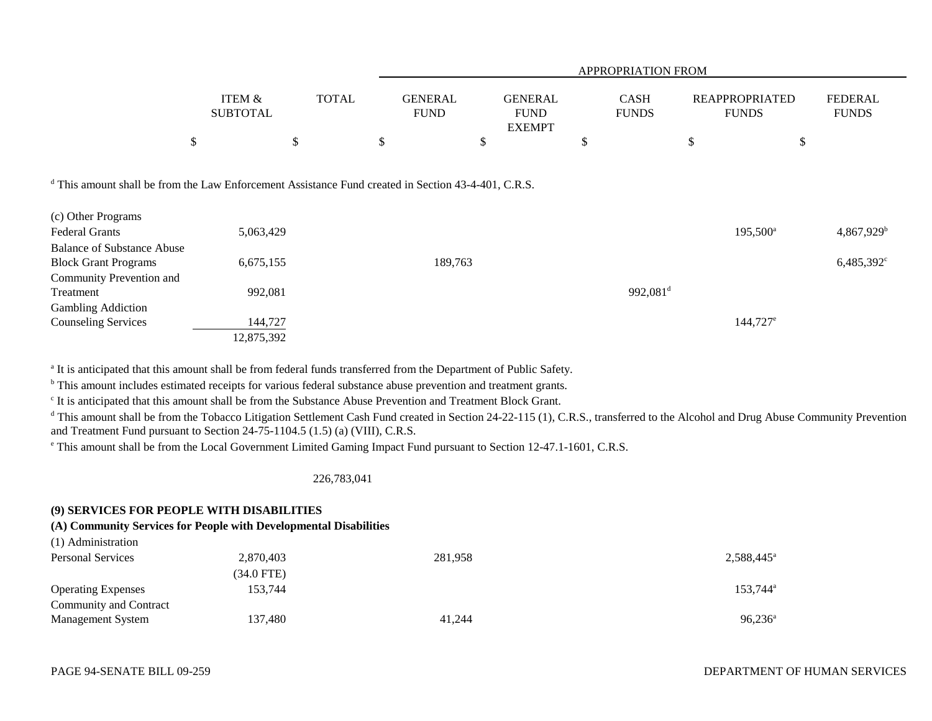|                                                                                                                |                                      |              |                               | <b>APPROPRIATION FROM</b>                      |   |                             |                                       |                                |  |  |  |  |  |
|----------------------------------------------------------------------------------------------------------------|--------------------------------------|--------------|-------------------------------|------------------------------------------------|---|-----------------------------|---------------------------------------|--------------------------------|--|--|--|--|--|
|                                                                                                                | <b>ITEM &amp;</b><br><b>SUBTOTAL</b> | <b>TOTAL</b> | <b>GENERAL</b><br><b>FUND</b> | <b>GENERAL</b><br><b>FUND</b><br><b>EXEMPT</b> |   | <b>CASH</b><br><b>FUNDS</b> | <b>REAPPROPRIATED</b><br><b>FUNDS</b> | <b>FEDERAL</b><br><b>FUNDS</b> |  |  |  |  |  |
|                                                                                                                | \$                                   | \$           | \$                            | \$                                             | P |                             | \$                                    | \$                             |  |  |  |  |  |
| <sup>d</sup> This amount shall be from the Law Enforcement Assistance Fund created in Section 43-4-401, C.R.S. |                                      |              |                               |                                                |   |                             |                                       |                                |  |  |  |  |  |
| (c) Other Programs                                                                                             |                                      |              |                               |                                                |   |                             |                                       |                                |  |  |  |  |  |
| <b>Federal Grants</b>                                                                                          | 5,063,429                            |              |                               |                                                |   |                             | $195,500^{\circ}$                     | $4,867,929^{\rm b}$            |  |  |  |  |  |
| <b>Balance of Substance Abuse</b>                                                                              |                                      |              |                               |                                                |   |                             |                                       |                                |  |  |  |  |  |
| <b>Block Grant Programs</b>                                                                                    | 6,675,155                            |              | 189,763                       |                                                |   |                             |                                       | $6,485,392^{\circ}$            |  |  |  |  |  |
| Community Prevention and                                                                                       |                                      |              |                               |                                                |   |                             |                                       |                                |  |  |  |  |  |
| Treatment                                                                                                      | 992,081                              |              |                               |                                                |   | 992,081 <sup>d</sup>        |                                       |                                |  |  |  |  |  |
| <b>Gambling Addiction</b>                                                                                      |                                      |              |                               |                                                |   |                             |                                       |                                |  |  |  |  |  |
| <b>Counseling Services</b>                                                                                     | 144,727                              |              |                               |                                                |   |                             | $144,727$ <sup>e</sup>                |                                |  |  |  |  |  |
|                                                                                                                | 12,875,392                           |              |                               |                                                |   |                             |                                       |                                |  |  |  |  |  |

<sup>a</sup> It is anticipated that this amount shall be from federal funds transferred from the Department of Public Safety.

b This amount includes estimated receipts for various federal substance abuse prevention and treatment grants.

<sup>c</sup> It is anticipated that this amount shall be from the Substance Abuse Prevention and Treatment Block Grant.

<sup>d</sup> This amount shall be from the Tobacco Litigation Settlement Cash Fund created in Section 24-22-115 (1), C.R.S., transferred to the Alcohol and Drug Abuse Community Prevention and Treatment Fund pursuant to Section 24-75-1104.5 (1.5) (a) (VIII), C.R.S.

e This amount shall be from the Local Government Limited Gaming Impact Fund pursuant to Section 12-47.1-1601, C.R.S.

226,783,041

## **(9) SERVICES FOR PEOPLE WITH DISABILITIES**

# **(A) Community Services for People with Developmental Disabilities**

| 2,870,403  | 281,958 | $2,588,445^{\circ}$  |
|------------|---------|----------------------|
| (34.0 FTE) |         |                      |
| 153.744    |         | 153,744 <sup>a</sup> |
|            |         |                      |
| 137,480    | 41,244  | $96,236^a$           |
|            |         |                      |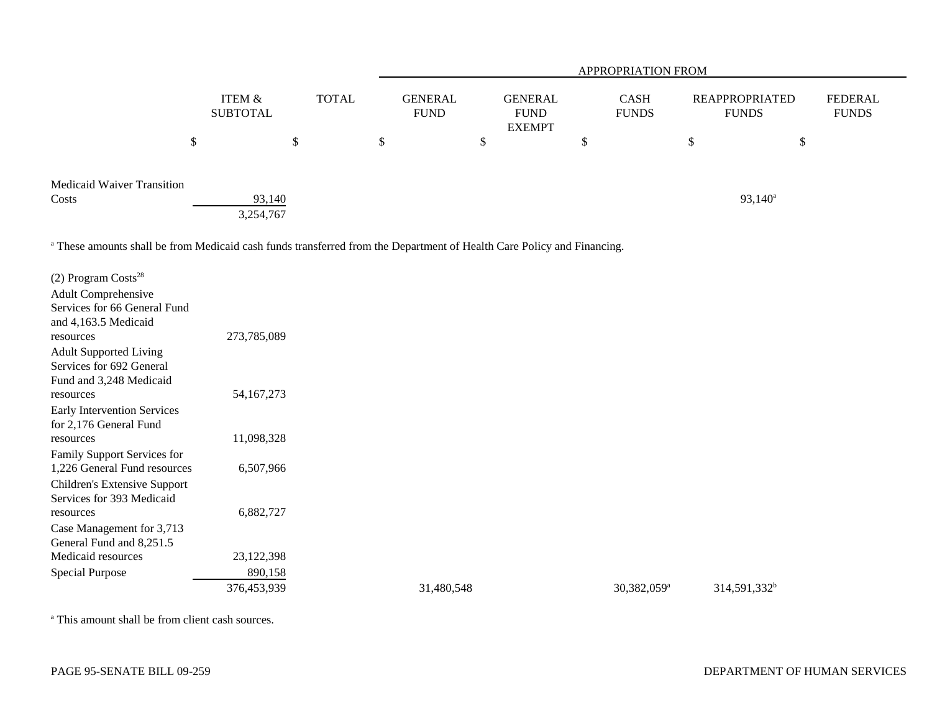|                                   |               |                               |               |       |               | <b>APPROPRIATION FROM</b>     |     |                                                |    |                             |   |                                       |                                |  |  |
|-----------------------------------|---------------|-------------------------------|---------------|-------|---------------|-------------------------------|-----|------------------------------------------------|----|-----------------------------|---|---------------------------------------|--------------------------------|--|--|
|                                   |               | <b>ITEM &amp;</b><br>SUBTOTAL |               | TOTAL |               | <b>GENERAL</b><br><b>FUND</b> |     | <b>GENERAL</b><br><b>FUND</b><br><b>EXEMPT</b> |    | <b>CASH</b><br><b>FUNDS</b> |   | <b>REAPPROPRIATED</b><br><b>FUNDS</b> | <b>FEDERAL</b><br><b>FUNDS</b> |  |  |
|                                   | <sup>\$</sup> |                               | $\mathcal{S}$ |       | <sup>\$</sup> |                               | AD. |                                                | \$ |                             | S | Ğ,                                    |                                |  |  |
| <b>Medicaid Waiver Transition</b> |               |                               |               |       |               |                               |     |                                                |    |                             |   |                                       |                                |  |  |
| Costs                             |               | 93,140                        |               |       |               |                               |     |                                                |    |                             |   | $93,140^a$                            |                                |  |  |
|                                   |               | 3,254,767                     |               |       |               |                               |     |                                                |    |                             |   |                                       |                                |  |  |

<sup>a</sup> These amounts shall be from Medicaid cash funds transferred from the Department of Health Care Policy and Financing.

| $(2)$ Program Costs <sup>28</sup><br>Adult Comprehensive<br>Services for 66 General Fund |             |            |                         |                          |
|------------------------------------------------------------------------------------------|-------------|------------|-------------------------|--------------------------|
| and 4,163.5 Medicaid                                                                     |             |            |                         |                          |
| resources                                                                                | 273,785,089 |            |                         |                          |
| <b>Adult Supported Living</b><br>Services for 692 General                                |             |            |                         |                          |
| Fund and 3,248 Medicaid                                                                  |             |            |                         |                          |
| resources                                                                                | 54,167,273  |            |                         |                          |
| Early Intervention Services                                                              |             |            |                         |                          |
| for 2,176 General Fund                                                                   |             |            |                         |                          |
| resources                                                                                | 11,098,328  |            |                         |                          |
| Family Support Services for                                                              |             |            |                         |                          |
| 1,226 General Fund resources                                                             | 6,507,966   |            |                         |                          |
| Children's Extensive Support                                                             |             |            |                         |                          |
| Services for 393 Medicaid                                                                |             |            |                         |                          |
| resources                                                                                | 6,882,727   |            |                         |                          |
| Case Management for 3,713                                                                |             |            |                         |                          |
| General Fund and 8,251.5                                                                 |             |            |                         |                          |
| Medicaid resources                                                                       | 23,122,398  |            |                         |                          |
| <b>Special Purpose</b>                                                                   | 890,158     |            |                         |                          |
|                                                                                          | 376,453,939 | 31,480,548 | 30,382,059 <sup>a</sup> | 314,591,332 <sup>b</sup> |

<sup>a</sup> This amount shall be from client cash sources.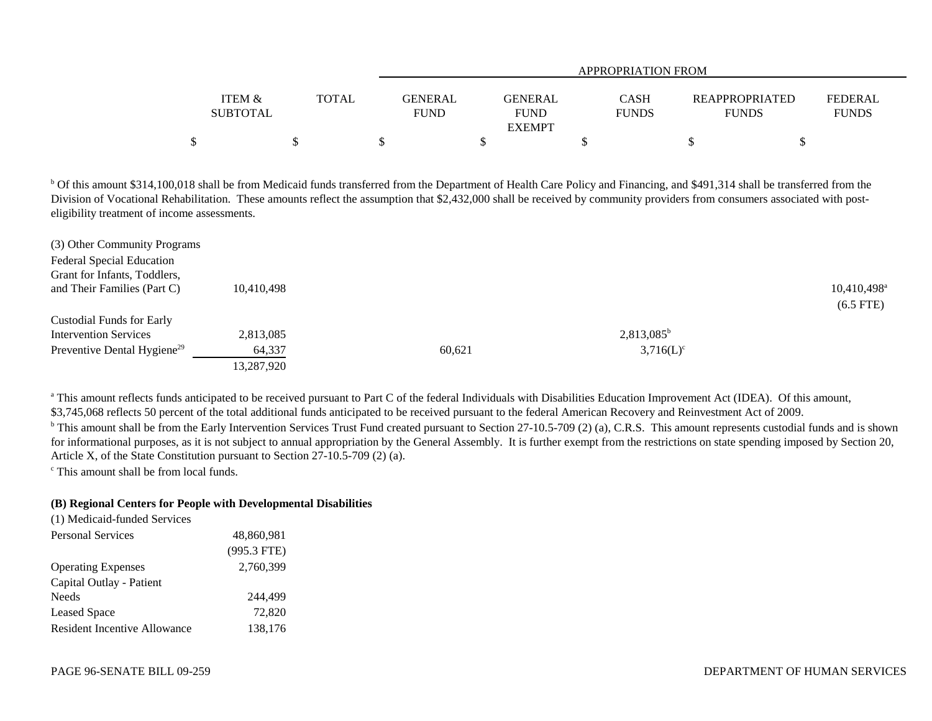|                   |              | APPROPRIATION FROM |                |  |              |                       |  |                |  |  |  |
|-------------------|--------------|--------------------|----------------|--|--------------|-----------------------|--|----------------|--|--|--|
|                   |              |                    |                |  |              |                       |  |                |  |  |  |
| <b>ITEM &amp;</b> | <b>TOTAL</b> | <b>GENERAL</b>     | <b>GENERAL</b> |  | <b>CASH</b>  | <b>REAPPROPRIATED</b> |  | <b>FEDERAL</b> |  |  |  |
| <b>SUBTOTAL</b>   |              | <b>FUND</b>        | <b>FUND</b>    |  | <b>FUNDS</b> | <b>FUNDS</b>          |  | <b>FUNDS</b>   |  |  |  |
|                   |              |                    | <b>EXEMPT</b>  |  |              |                       |  |                |  |  |  |
| \$                |              |                    |                |  |              |                       |  |                |  |  |  |

<sup>b</sup> Of this amount \$314,100,018 shall be from Medicaid funds transferred from the Department of Health Care Policy and Financing, and \$491,314 shall be transferred from the Division of Vocational Rehabilitation. These amounts reflect the assumption that \$2,432,000 shall be received by community providers from consumers associated with posteligibility treatment of income assessments.

| 10.410.498 |        |               | $10,410,498$ <sup>a</sup> |
|------------|--------|---------------|---------------------------|
|            |        |               | $(6.5$ FTE)               |
|            |        |               |                           |
| 2,813,085  |        | $2,813,085^b$ |                           |
| 64,337     | 60.621 | $3,716(L)^c$  |                           |
| 13,287,920 |        |               |                           |
|            |        |               |                           |

<sup>a</sup> This amount reflects funds anticipated to be received pursuant to Part C of the federal Individuals with Disabilities Education Improvement Act (IDEA). Of this amount, \$3,745,068 reflects 50 percent of the total additional funds anticipated to be received pursuant to the federal American Recovery and Reinvestment Act of 2009.

<sup>b</sup> This amount shall be from the Early Intervention Services Trust Fund created pursuant to Section 27-10.5-709 (2) (a), C.R.S. This amount represents custodial funds and is shown for informational purposes, as it is not subject to annual appropriation by the General Assembly. It is further exempt from the restrictions on state spending imposed by Section 20, Article X, of the State Constitution pursuant to Section 27-10.5-709 (2) (a).

c This amount shall be from local funds.

## **(B) Regional Centers for People with Developmental Disabilities**

| (1) Medicaid-funded Services        |               |  |
|-------------------------------------|---------------|--|
| <b>Personal Services</b>            | 48,860,981    |  |
|                                     | $(995.3$ FTE) |  |
| <b>Operating Expenses</b>           | 2.760.399     |  |
| Capital Outlay - Patient            |               |  |
| <b>Needs</b>                        | 244,499       |  |
| <b>Leased Space</b>                 | 72,820        |  |
| <b>Resident Incentive Allowance</b> | 138,176       |  |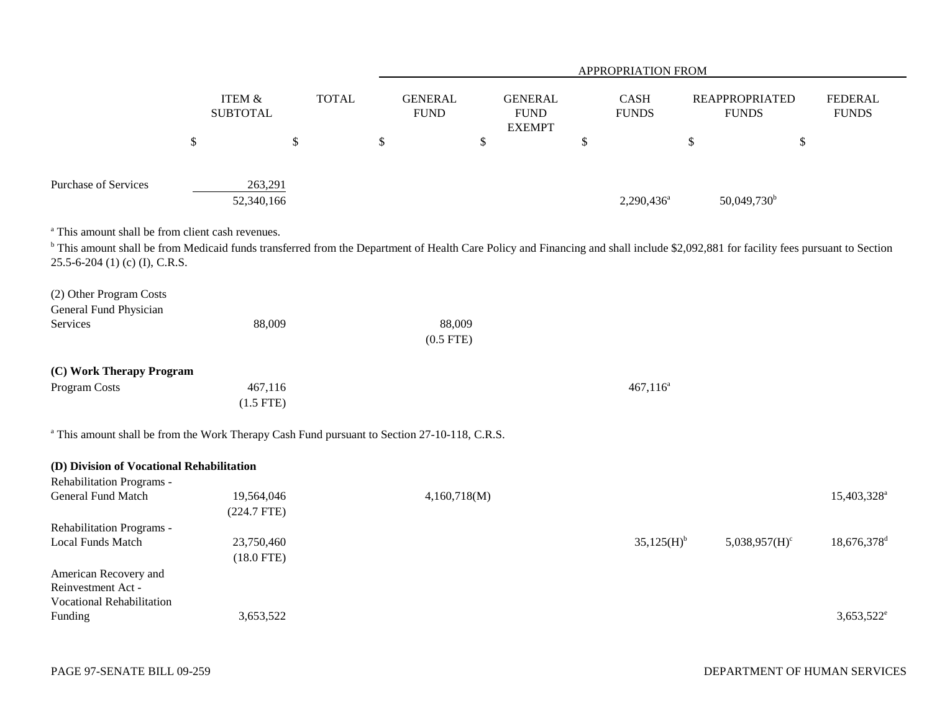|                                                                                                                                                                                                                                                                                                 |                                      |              |                               |                                                 |              | APPROPRIATION FROM     |                                       |                                |
|-------------------------------------------------------------------------------------------------------------------------------------------------------------------------------------------------------------------------------------------------------------------------------------------------|--------------------------------------|--------------|-------------------------------|-------------------------------------------------|--------------|------------------------|---------------------------------------|--------------------------------|
|                                                                                                                                                                                                                                                                                                 | <b>ITEM &amp;</b><br><b>SUBTOTAL</b> | <b>TOTAL</b> | <b>GENERAL</b><br><b>FUND</b> | <b>GENERAL</b><br>${\rm FUND}$<br><b>EXEMPT</b> |              | CASH<br><b>FUNDS</b>   | <b>REAPPROPRIATED</b><br><b>FUNDS</b> | <b>FEDERAL</b><br><b>FUNDS</b> |
| $\boldsymbol{\mathsf{S}}$                                                                                                                                                                                                                                                                       |                                      | \$           | \$                            | \$                                              | $\mathbb{S}$ |                        | \$<br>$\boldsymbol{\mathsf{S}}$       |                                |
|                                                                                                                                                                                                                                                                                                 |                                      |              |                               |                                                 |              |                        |                                       |                                |
| Purchase of Services                                                                                                                                                                                                                                                                            | 263,291<br>52,340,166                |              |                               |                                                 |              | 2,290,436 <sup>a</sup> | 50,049,730 <sup>b</sup>               |                                |
| <sup>a</sup> This amount shall be from client cash revenues.<br><sup>b</sup> This amount shall be from Medicaid funds transferred from the Department of Health Care Policy and Financing and shall include \$2,092,881 for facility fees pursuant to Section<br>25.5-6-204 (1) (c) (I), C.R.S. |                                      |              |                               |                                                 |              |                        |                                       |                                |
| (2) Other Program Costs<br>General Fund Physician                                                                                                                                                                                                                                               |                                      |              |                               |                                                 |              |                        |                                       |                                |
| Services                                                                                                                                                                                                                                                                                        | 88,009                               |              | 88,009<br>$(0.5$ FTE)         |                                                 |              |                        |                                       |                                |
| (C) Work Therapy Program                                                                                                                                                                                                                                                                        |                                      |              |                               |                                                 |              |                        |                                       |                                |
| Program Costs                                                                                                                                                                                                                                                                                   | 467,116<br>$(1.5$ FTE)               |              |                               |                                                 |              | $467,116^a$            |                                       |                                |
| <sup>a</sup> This amount shall be from the Work Therapy Cash Fund pursuant to Section 27-10-118, C.R.S.                                                                                                                                                                                         |                                      |              |                               |                                                 |              |                        |                                       |                                |
| (D) Division of Vocational Rehabilitation                                                                                                                                                                                                                                                       |                                      |              |                               |                                                 |              |                        |                                       |                                |
| Rehabilitation Programs -<br>General Fund Match                                                                                                                                                                                                                                                 | 19,564,046<br>$(224.7$ FTE)          |              | 4,160,718(M)                  |                                                 |              |                        |                                       | 15,403,328 <sup>a</sup>        |
| Rehabilitation Programs -<br>Local Funds Match                                                                                                                                                                                                                                                  | 23,750,460<br>$(18.0$ FTE)           |              |                               |                                                 |              | 35,125(H) <sup>b</sup> | $5,038,957(H)^c$                      | 18,676,378 <sup>d</sup>        |
| American Recovery and<br>Reinvestment Act -<br>Vocational Rehabilitation                                                                                                                                                                                                                        |                                      |              |                               |                                                 |              |                        |                                       |                                |
| Funding                                                                                                                                                                                                                                                                                         | 3,653,522                            |              |                               |                                                 |              |                        |                                       | $3,653,522^e$                  |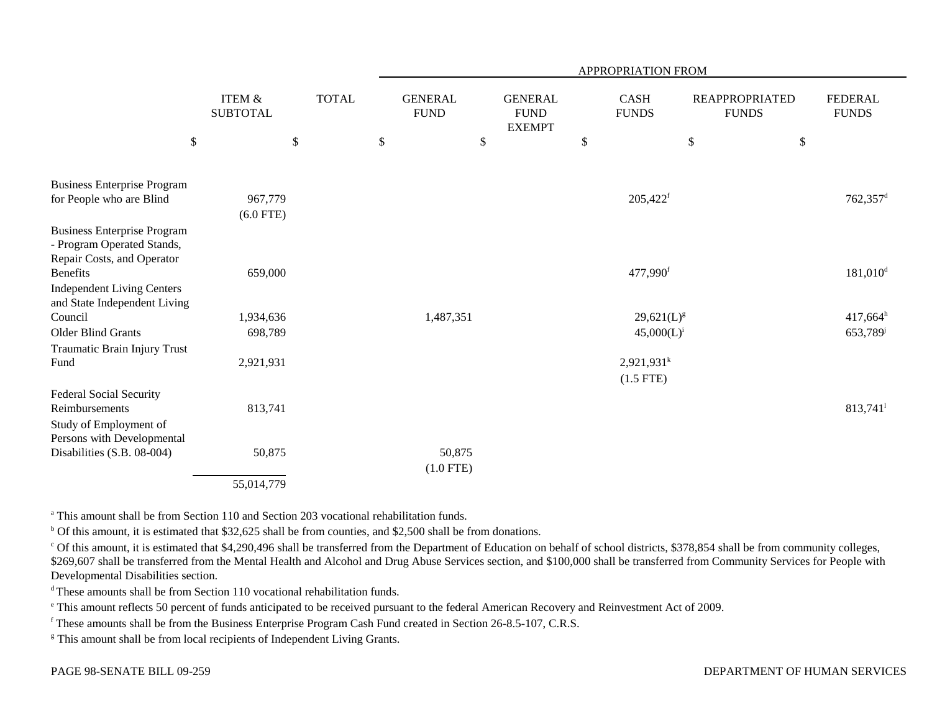|                                                                                                |                                                                   |              | APPROPRIATION FROM |                               |      |                                                |    |                              |                                                                    |      |                                |
|------------------------------------------------------------------------------------------------|-------------------------------------------------------------------|--------------|--------------------|-------------------------------|------|------------------------------------------------|----|------------------------------|--------------------------------------------------------------------|------|--------------------------------|
| \$                                                                                             | <b>ITEM &amp;</b><br><b>SUBTOTAL</b><br>$\boldsymbol{\mathsf{S}}$ | <b>TOTAL</b> | \$                 | <b>GENERAL</b><br><b>FUND</b> | $\$$ | <b>GENERAL</b><br><b>FUND</b><br><b>EXEMPT</b> | \$ | <b>CASH</b><br><b>FUNDS</b>  | <b>REAPPROPRIATED</b><br><b>FUNDS</b><br>$\boldsymbol{\mathsf{S}}$ | $\$$ | <b>FEDERAL</b><br><b>FUNDS</b> |
| <b>Business Enterprise Program</b><br>for People who are Blind                                 | 967,779                                                           |              |                    |                               |      |                                                |    | 205,422f                     |                                                                    |      | $762,357$ <sup>d</sup>         |
| <b>Business Enterprise Program</b><br>- Program Operated Stands,<br>Repair Costs, and Operator | $(6.0$ FTE)                                                       |              |                    |                               |      |                                                |    |                              |                                                                    |      |                                |
| <b>Benefits</b><br><b>Independent Living Centers</b><br>and State Independent Living           | 659,000                                                           |              |                    |                               |      |                                                |    | 477,990 <sup>f</sup>         |                                                                    |      | $181,010$ <sup>d</sup>         |
| Council                                                                                        | 1,934,636                                                         |              |                    | 1,487,351                     |      |                                                |    | $29,621(L)^{g}$              |                                                                    |      | $417,664^h$                    |
| Older Blind Grants                                                                             | 698,789                                                           |              |                    |                               |      |                                                |    | $45,000(L)^{i}$              |                                                                    |      | 653,789 <sup>j</sup>           |
| Traumatic Brain Injury Trust                                                                   |                                                                   |              |                    |                               |      |                                                |    |                              |                                                                    |      |                                |
| Fund                                                                                           | 2,921,931                                                         |              |                    |                               |      |                                                |    | $2,921,931^k$<br>$(1.5$ FTE) |                                                                    |      |                                |
| <b>Federal Social Security</b><br>Reimbursements<br>Study of Employment of                     | 813,741                                                           |              |                    |                               |      |                                                |    |                              |                                                                    |      | $813,741$ <sup>1</sup>         |
| Persons with Developmental<br>Disabilities (S.B. 08-004)                                       | 50,875                                                            |              |                    | 50,875<br>$(1.0$ FTE)         |      |                                                |    |                              |                                                                    |      |                                |
|                                                                                                | 55,014,779                                                        |              |                    |                               |      |                                                |    |                              |                                                                    |      |                                |

a This amount shall be from Section 110 and Section 203 vocational rehabilitation funds.

<sup>b</sup> Of this amount, it is estimated that \$32,625 shall be from counties, and \$2,500 shall be from donations.

<sup>c</sup> Of this amount, it is estimated that \$4,290,496 shall be transferred from the Department of Education on behalf of school districts, \$378,854 shall be from community colleges, \$269,607 shall be transferred from the Mental Health and Alcohol and Drug Abuse Services section, and \$100,000 shall be transferred from Community Services for People with Developmental Disabilities section.

<sup>d</sup> These amounts shall be from Section 110 vocational rehabilitation funds.

e This amount reflects 50 percent of funds anticipated to be received pursuant to the federal American Recovery and Reinvestment Act of 2009.

f These amounts shall be from the Business Enterprise Program Cash Fund created in Section 26-8.5-107, C.R.S.

<sup>g</sup> This amount shall be from local recipients of Independent Living Grants.

## DEPARTMENT OF HUMAN SERVICES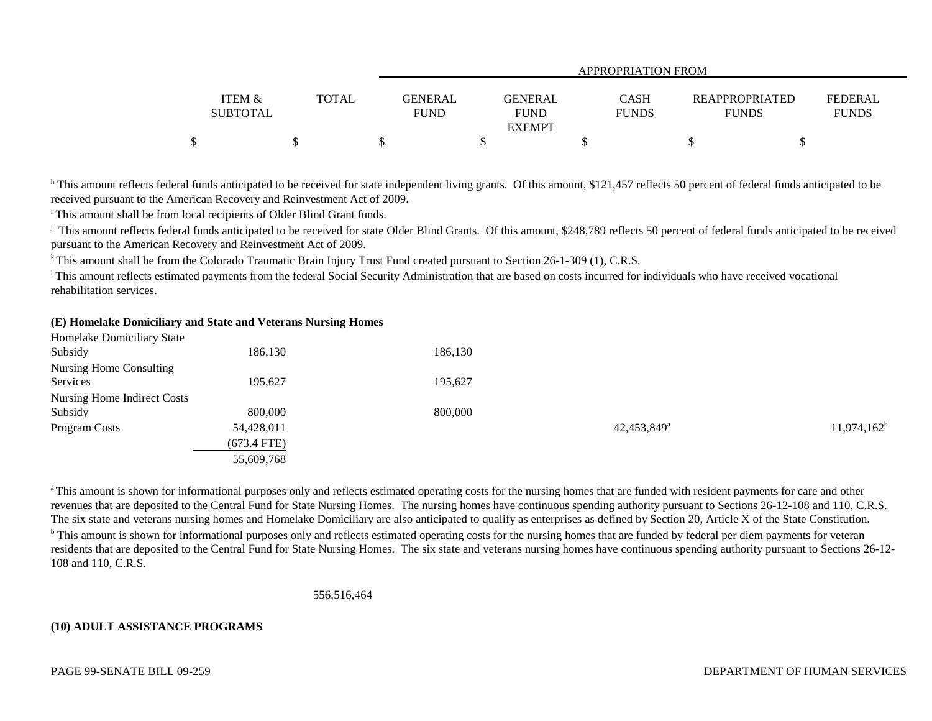|                                      | APPROPRIATION FROM |                        |                                         |                      |                                       |                                |
|--------------------------------------|--------------------|------------------------|-----------------------------------------|----------------------|---------------------------------------|--------------------------------|
| <b>ITEM &amp;</b><br><b>SUBTOTAL</b> | <b>TOTAL</b>       | GENERAL<br><b>FUND</b> | GENERAL<br><b>FUND</b><br><b>EXEMPT</b> | CASH<br><b>FUNDS</b> | <b>REAPPROPRIATED</b><br><b>FUNDS</b> | <b>FEDERAL</b><br><b>FUNDS</b> |
|                                      |                    |                        |                                         |                      |                                       |                                |

<sup>h</sup> This amount reflects federal funds anticipated to be received for state independent living grants. Of this amount, \$121,457 reflects 50 percent of federal funds anticipated to be received pursuant to the American Recovery and Reinvestment Act of 2009.

i This amount shall be from local recipients of Older Blind Grant funds.

<sup>j</sup> This amount reflects federal funds anticipated to be received for state Older Blind Grants. Of this amount, \$248,789 reflects 50 percent of federal funds anticipated to be received pursuant to the American Recovery and Reinvestment Act of 2009.

<sup>k</sup> This amount shall be from the Colorado Traumatic Brain Injury Trust Fund created pursuant to Section 26-1-309 (1), C.R.S.

<sup>1</sup>This amount reflects estimated payments from the federal Social Security Administration that are based on costs incurred for individuals who have received vocational rehabilitation services.

### **(E) Homelake Domiciliary and State and Veterans Nursing Homes**

| 186,130       | 186,130 |                         |                |
|---------------|---------|-------------------------|----------------|
|               |         |                         |                |
| 195,627       | 195,627 |                         |                |
|               |         |                         |                |
| 800,000       | 800,000 |                         |                |
| 54,428,011    |         | 42,453,849 <sup>a</sup> | $11,974,162^b$ |
| $(673.4$ FTE) |         |                         |                |
| 55,609,768    |         |                         |                |
|               |         |                         |                |

<sup>a</sup> This amount is shown for informational purposes only and reflects estimated operating costs for the nursing homes that are funded with resident payments for care and other revenues that are deposited to the Central Fund for State Nursing Homes. The nursing homes have continuous spending authority pursuant to Sections 26-12-108 and 110, C.R.S. The six state and veterans nursing homes and Homelake Domiciliary are also anticipated to qualify as enterprises as defined by Section 20, Article X of the State Constitution. <sup>b</sup> This amount is shown for informational purposes only and reflects estimated operating costs for the nursing homes that are funded by federal per diem payments for veteran residents that are deposited to the Central Fund for State Nursing Homes. The six state and veterans nursing homes have continuous spending authority pursuant to Sections 26-12- 108 and 110, C.R.S.

556,516,464

### **(10) ADULT ASSISTANCE PROGRAMS**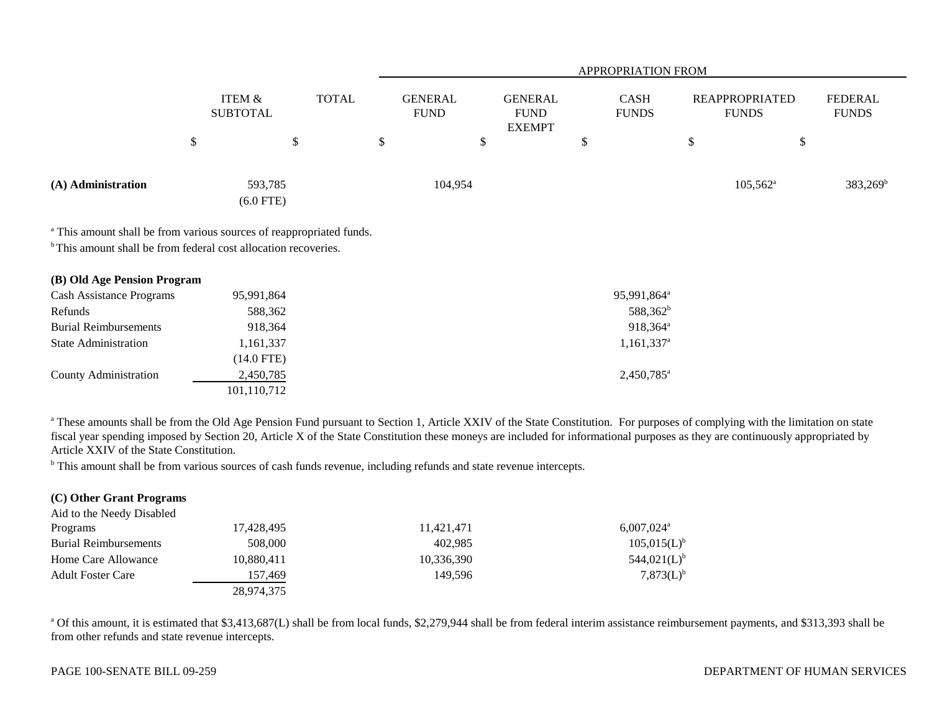|                    |                           |                                      |              |                               | <b>APPROPRIATION FROM</b> |                                                |  |                             |  |                                       |                   |                                |
|--------------------|---------------------------|--------------------------------------|--------------|-------------------------------|---------------------------|------------------------------------------------|--|-----------------------------|--|---------------------------------------|-------------------|--------------------------------|
|                    |                           | <b>ITEM &amp;</b><br><b>SUBTOTAL</b> | <b>TOTAL</b> | <b>GENERAL</b><br><b>FUND</b> |                           | <b>GENERAL</b><br><b>FUND</b><br><b>EXEMPT</b> |  | <b>CASH</b><br><b>FUNDS</b> |  | <b>REAPPROPRIATED</b><br><b>FUNDS</b> |                   | <b>FEDERAL</b><br><b>FUNDS</b> |
|                    | $\boldsymbol{\mathsf{S}}$ | D                                    |              | \$                            |                           | ۰D                                             |  | D                           |  | S                                     | \$                |                                |
| (A) Administration |                           | 593,785<br>$(6.0$ FTE)               |              |                               | 104,954                   |                                                |  |                             |  |                                       | $105,562^{\circ}$ | $383,269^{\rm b}$              |

<sup>a</sup> This amount shall be from various sources of reappropriated funds.

<sup>b</sup> This amount shall be from federal cost allocation recoveries.

| <b>Cash Assistance Programs</b><br>95,991,864<br>Refunds<br>588,362<br><b>Burial Reimbursements</b><br>918,364<br><b>State Administration</b><br>1,161,337<br>(14.0 FTE)<br><b>County Administration</b><br>2,450,785<br>101,110,712 | (B) Old Age Pension Program |                          |
|--------------------------------------------------------------------------------------------------------------------------------------------------------------------------------------------------------------------------------------|-----------------------------|--------------------------|
|                                                                                                                                                                                                                                      |                             | 95,991,864 <sup>a</sup>  |
|                                                                                                                                                                                                                                      |                             | 588,362 <sup>b</sup>     |
|                                                                                                                                                                                                                                      |                             | $918.364^{\text{a}}$     |
|                                                                                                                                                                                                                                      |                             | $1,161,337$ <sup>a</sup> |
|                                                                                                                                                                                                                                      |                             |                          |
|                                                                                                                                                                                                                                      |                             | $2,450,785$ <sup>a</sup> |
|                                                                                                                                                                                                                                      |                             |                          |

<sup>a</sup> These amounts shall be from the Old Age Pension Fund pursuant to Section 1, Article XXIV of the State Constitution. For purposes of complying with the limitation on state fiscal year spending imposed by Section 20, Article X of the State Constitution these moneys are included for informational purposes as they are continuously appropriated by Article XXIV of the State Constitution.

<sup>b</sup> This amount shall be from various sources of cash funds revenue, including refunds and state revenue intercepts.

| (C) Other Grant Programs     |            |            |                          |
|------------------------------|------------|------------|--------------------------|
| Aid to the Needy Disabled    |            |            |                          |
| Programs                     | 17,428,495 | 11,421,471 | $6,007,024$ <sup>a</sup> |
| <b>Burial Reimbursements</b> | 508,000    | 402.985    | 105,015(L) <sup>b</sup>  |
| Home Care Allowance          | 10,880,411 | 10,336,390 | 544,021(L) <sup>b</sup>  |
| <b>Adult Foster Care</b>     | 157.469    | 149.596    | $7,873(L)^{b}$           |
|                              | 28,974,375 |            |                          |

<sup>a</sup> Of this amount, it is estimated that \$3,413,687(L) shall be from local funds, \$2,279,944 shall be from federal interim assistance reimbursement payments, and \$313,393 shall be from other refunds and state revenue intercepts.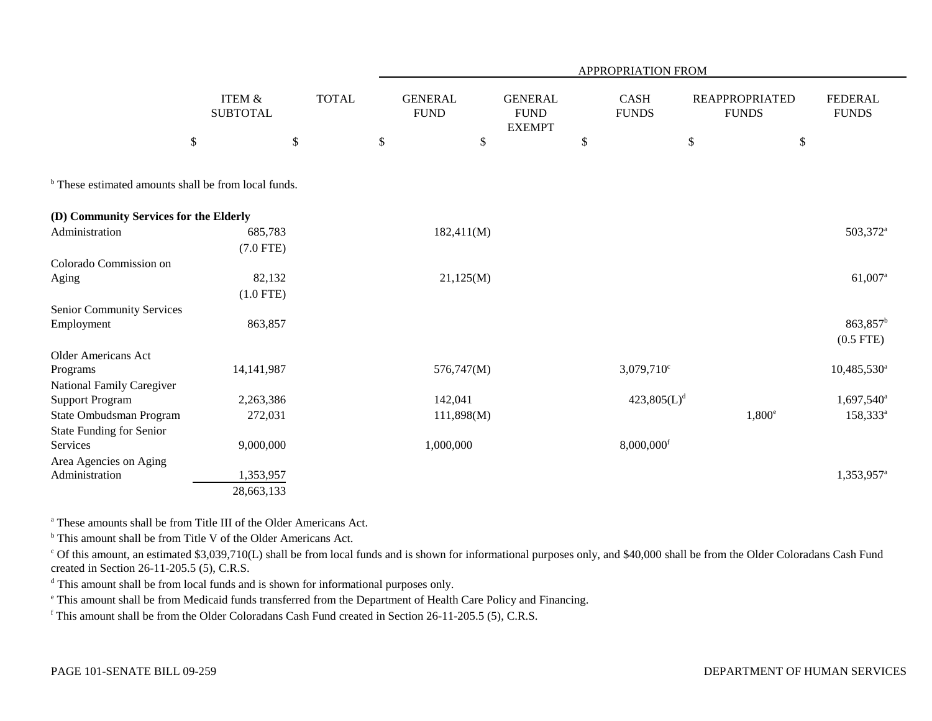|                                                                 |                                      |              |                               |                                                | APPROPRIATION FROM          |                                       |                                     |
|-----------------------------------------------------------------|--------------------------------------|--------------|-------------------------------|------------------------------------------------|-----------------------------|---------------------------------------|-------------------------------------|
|                                                                 | <b>ITEM &amp;</b><br><b>SUBTOTAL</b> | <b>TOTAL</b> | <b>GENERAL</b><br><b>FUND</b> | <b>GENERAL</b><br><b>FUND</b><br><b>EXEMPT</b> | <b>CASH</b><br><b>FUNDS</b> | <b>REAPPROPRIATED</b><br><b>FUNDS</b> | <b>FEDERAL</b><br><b>FUNDS</b>      |
|                                                                 | $\$\,$                               | \$           | $\boldsymbol{\mathsf{S}}$     | \$                                             | \$                          | $\$$                                  | \$                                  |
| <sup>b</sup> These estimated amounts shall be from local funds. |                                      |              |                               |                                                |                             |                                       |                                     |
| (D) Community Services for the Elderly                          |                                      |              |                               |                                                |                             |                                       |                                     |
| Administration                                                  | 685,783<br>$(7.0$ FTE)               |              |                               | 182,411(M)                                     |                             |                                       | 503,372 <sup>a</sup>                |
| Colorado Commission on                                          |                                      |              |                               |                                                |                             |                                       |                                     |
| Aging                                                           | 82,132<br>$(1.0$ FTE)                |              |                               | 21,125(M)                                      |                             |                                       | 61,007 <sup>a</sup>                 |
| Senior Community Services                                       |                                      |              |                               |                                                |                             |                                       |                                     |
| Employment                                                      | 863,857                              |              |                               |                                                |                             |                                       | 863,857 <sup>b</sup><br>$(0.5$ FTE) |
| <b>Older Americans Act</b>                                      |                                      |              |                               |                                                |                             |                                       |                                     |
| Programs                                                        | 14, 141, 987                         |              |                               | 576,747(M)                                     | $3,079,710^{\circ}$         |                                       | $10,485,530$ <sup>a</sup>           |
| National Family Caregiver                                       |                                      |              |                               |                                                |                             |                                       |                                     |
| <b>Support Program</b>                                          | 2,263,386                            |              | 142,041                       |                                                | $423,805(L)^d$              |                                       | $1,697,540$ <sup>a</sup>            |
| State Ombudsman Program                                         | 272,031                              |              |                               | 111,898(M)                                     |                             |                                       | $1,800^{\circ}$<br>$158,333^a$      |
| <b>State Funding for Senior</b>                                 |                                      |              |                               |                                                |                             |                                       |                                     |
| Services                                                        | 9,000,000                            |              | 1,000,000                     |                                                | 8,000,000f                  |                                       |                                     |
| Area Agencies on Aging<br>Administration                        | 1,353,957                            |              |                               |                                                |                             |                                       | 1,353,957 <sup>a</sup>              |
|                                                                 | 28,663,133                           |              |                               |                                                |                             |                                       |                                     |
|                                                                 |                                      |              |                               |                                                |                             |                                       |                                     |

a These amounts shall be from Title III of the Older Americans Act.

<sup>b</sup> This amount shall be from Title V of the Older Americans Act.

<sup>c</sup> Of this amount, an estimated \$3,039,710(L) shall be from local funds and is shown for informational purposes only, and \$40,000 shall be from the Older Coloradans Cash Fund created in Section 26-11-205.5 (5), C.R.S.

<sup>d</sup> This amount shall be from local funds and is shown for informational purposes only.

e This amount shall be from Medicaid funds transferred from the Department of Health Care Policy and Financing.

f This amount shall be from the Older Coloradans Cash Fund created in Section 26-11-205.5 (5), C.R.S.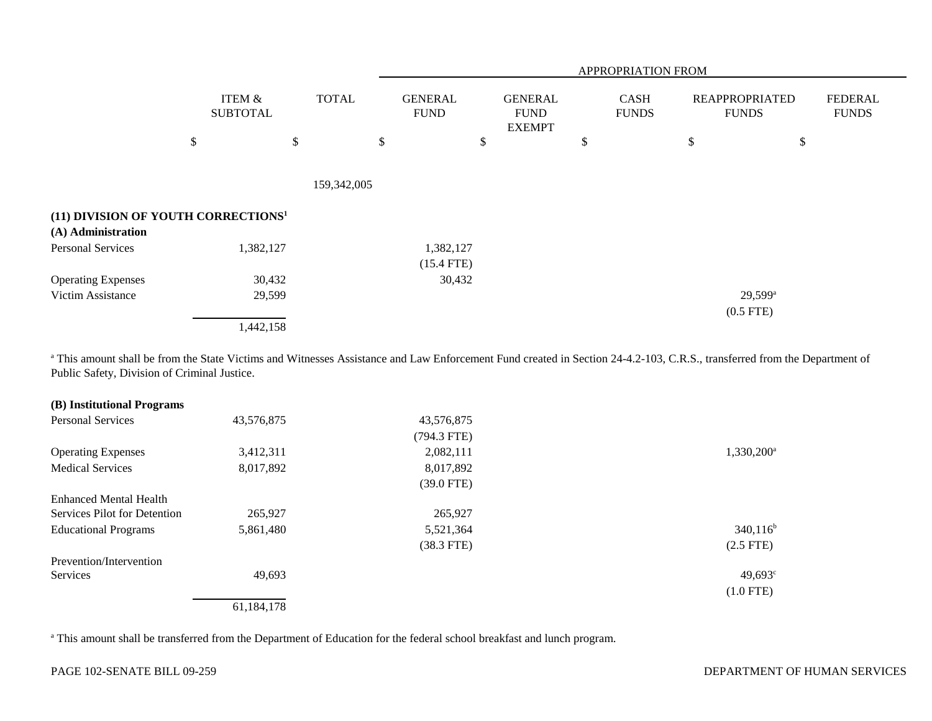|                                                 |                                      |              |                               |                                                |                             |                                       | APPROPRIATION FROM             |  |  |  |  |  |
|-------------------------------------------------|--------------------------------------|--------------|-------------------------------|------------------------------------------------|-----------------------------|---------------------------------------|--------------------------------|--|--|--|--|--|
|                                                 | <b>ITEM &amp;</b><br><b>SUBTOTAL</b> | <b>TOTAL</b> | <b>GENERAL</b><br><b>FUND</b> | <b>GENERAL</b><br><b>FUND</b><br><b>EXEMPT</b> | <b>CASH</b><br><b>FUNDS</b> | <b>REAPPROPRIATED</b><br><b>FUNDS</b> | <b>FEDERAL</b><br><b>FUNDS</b> |  |  |  |  |  |
|                                                 | \$                                   | \$           | \$                            | \$                                             | \$                          | \$                                    | \$                             |  |  |  |  |  |
|                                                 |                                      |              |                               |                                                |                             |                                       |                                |  |  |  |  |  |
|                                                 |                                      | 159,342,005  |                               |                                                |                             |                                       |                                |  |  |  |  |  |
| (11) DIVISION OF YOUTH CORRECTIONS <sup>1</sup> |                                      |              |                               |                                                |                             |                                       |                                |  |  |  |  |  |
| (A) Administration                              |                                      |              |                               |                                                |                             |                                       |                                |  |  |  |  |  |
| <b>Personal Services</b>                        | 1,382,127                            |              | 1,382,127                     |                                                |                             |                                       |                                |  |  |  |  |  |
|                                                 |                                      |              | $(15.4$ FTE)                  |                                                |                             |                                       |                                |  |  |  |  |  |
| <b>Operating Expenses</b>                       | 30,432                               |              | 30,432                        |                                                |                             |                                       |                                |  |  |  |  |  |
| Victim Assistance                               | 29,599                               |              |                               |                                                |                             | $29,599^{\rm a}$                      |                                |  |  |  |  |  |
|                                                 |                                      |              |                               |                                                |                             | $(0.5$ FTE)                           |                                |  |  |  |  |  |
|                                                 | 1,442,158                            |              |                               |                                                |                             |                                       |                                |  |  |  |  |  |

<sup>a</sup> This amount shall be from the State Victims and Witnesses Assistance and Law Enforcement Fund created in Section 24-4.2-103, C.R.S., transferred from the Department of Public Safety, Division of Criminal Justice.

| (B) Institutional Programs    |            |              |                     |
|-------------------------------|------------|--------------|---------------------|
| <b>Personal Services</b>      | 43,576,875 | 43,576,875   |                     |
|                               |            | (794.3 FTE)  |                     |
| <b>Operating Expenses</b>     | 3,412,311  | 2,082,111    | $1,330,200^{\circ}$ |
| <b>Medical Services</b>       | 8,017,892  | 8,017,892    |                     |
|                               |            | $(39.0$ FTE) |                     |
| <b>Enhanced Mental Health</b> |            |              |                     |
| Services Pilot for Detention  | 265,927    | 265,927      |                     |
| <b>Educational Programs</b>   | 5,861,480  | 5,521,364    | $340,116^b$         |
|                               |            | $(38.3$ FTE) | $(2.5$ FTE)         |
| Prevention/Intervention       |            |              |                     |
| <b>Services</b>               | 49,693     |              | $49,693^{\circ}$    |
|                               |            |              | $(1.0$ FTE)         |
|                               | 61,184,178 |              |                     |

<sup>a</sup> This amount shall be transferred from the Department of Education for the federal school breakfast and lunch program.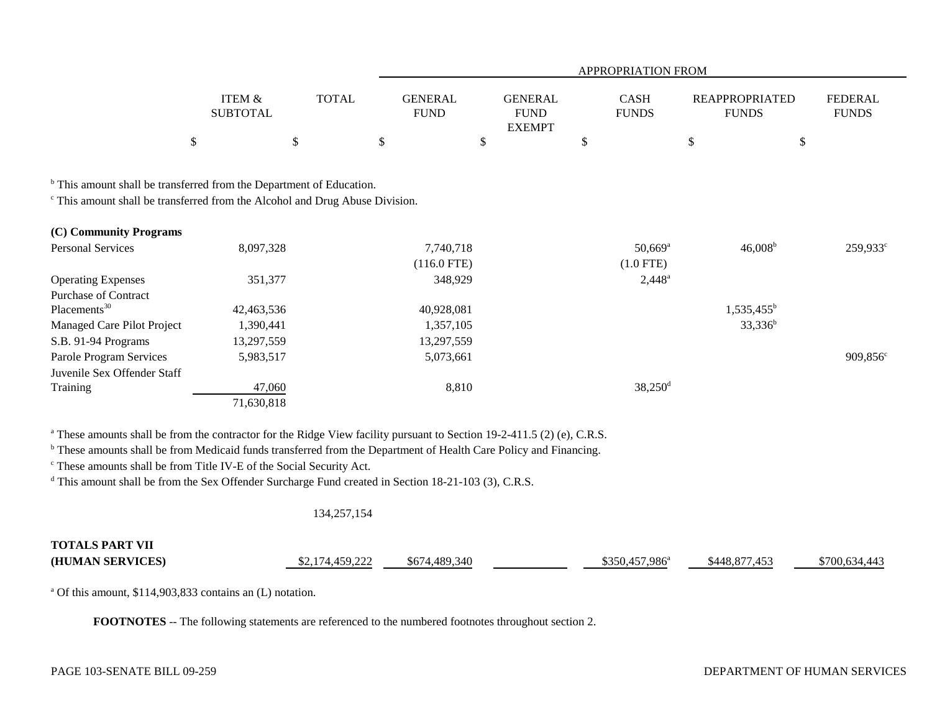|                                                                                                                                                                            |                                      |              |                               |                                                | APPROPRIATION FROM                   |                                       |                                |
|----------------------------------------------------------------------------------------------------------------------------------------------------------------------------|--------------------------------------|--------------|-------------------------------|------------------------------------------------|--------------------------------------|---------------------------------------|--------------------------------|
|                                                                                                                                                                            | <b>ITEM &amp;</b><br><b>SUBTOTAL</b> | <b>TOTAL</b> | <b>GENERAL</b><br><b>FUND</b> | <b>GENERAL</b><br><b>FUND</b><br><b>EXEMPT</b> | <b>CASH</b><br><b>FUNDS</b>          | <b>REAPPROPRIATED</b><br><b>FUNDS</b> | <b>FEDERAL</b><br><b>FUNDS</b> |
|                                                                                                                                                                            | \$                                   | \$           | \$                            | \$                                             | \$                                   | \$                                    | \$                             |
| <sup>b</sup> This amount shall be transferred from the Department of Education.<br><sup>c</sup> This amount shall be transferred from the Alcohol and Drug Abuse Division. |                                      |              |                               |                                                |                                      |                                       |                                |
| (C) Community Programs                                                                                                                                                     |                                      |              |                               |                                                |                                      |                                       |                                |
| <b>Personal Services</b>                                                                                                                                                   | 8,097,328                            |              | 7,740,718<br>$(116.0$ FTE)    |                                                | $50,669$ <sup>a</sup><br>$(1.0$ FTE) | $46,008^b$                            | $259,933^{\circ}$              |
| <b>Operating Expenses</b><br><b>Purchase of Contract</b>                                                                                                                   | 351,377                              |              | 348,929                       |                                                | $2,448^a$                            |                                       |                                |
| Placements <sup>30</sup>                                                                                                                                                   | 42,463,536                           |              | 40,928,081                    |                                                |                                      | $1,535,455^{\rm b}$                   |                                |
| Managed Care Pilot Project                                                                                                                                                 | 1,390,441                            |              | 1,357,105                     |                                                |                                      | $33,336^b$                            |                                |
| S.B. 91-94 Programs                                                                                                                                                        | 13,297,559                           |              | 13,297,559                    |                                                |                                      |                                       |                                |
| Parole Program Services                                                                                                                                                    | 5,983,517                            |              | 5,073,661                     |                                                |                                      |                                       | $909,856^{\circ}$              |
| Juvenile Sex Offender Staff                                                                                                                                                |                                      |              |                               |                                                |                                      |                                       |                                |
| Training                                                                                                                                                                   | 47,060                               |              | 8,810                         |                                                | $38,250$ <sup>d</sup>                |                                       |                                |
|                                                                                                                                                                            | 71,630,818                           |              |                               |                                                |                                      |                                       |                                |

<sup>a</sup> These amounts shall be from the contractor for the Ridge View facility pursuant to Section 19-2-411.5 (2) (e), C.R.S.

<sup>b</sup> These amounts shall be from Medicaid funds transferred from the Department of Health Care Policy and Financing.

c These amounts shall be from Title IV-E of the Social Security Act.

<sup>d</sup> This amount shall be from the Sex Offender Surcharge Fund created in Section 18-21-103 (3), C.R.S.

# 134,257,154

| <b>TOTALS PART VII</b> |         |                   |                                  |               |               |
|------------------------|---------|-------------------|----------------------------------|---------------|---------------|
| (HUMAN SERVICES)       | 150,222 | .489.340<br>\$674 | $.457.986^{\mathrm{a}}$<br>I350. | \$448 877 453 | \$700 634 443 |

a Of this amount, \$114,903,833 contains an (L) notation.

**FOOTNOTES** -- The following statements are referenced to the numbered footnotes throughout section 2.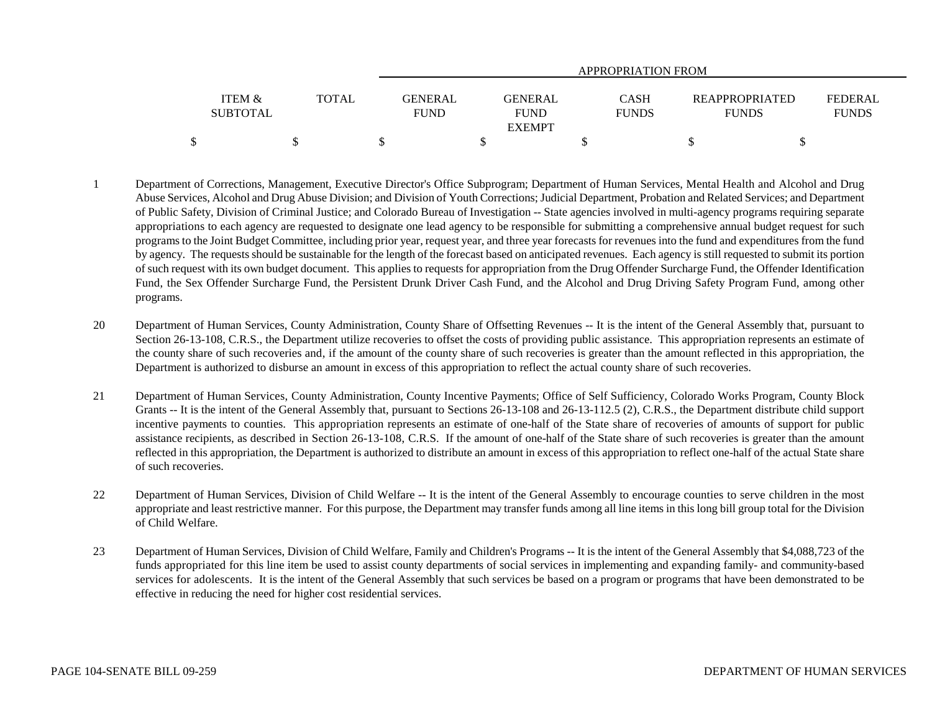|                 |              |                | APPROPRIATION FROM |  |                                      |                |  |  |  |
|-----------------|--------------|----------------|--------------------|--|--------------------------------------|----------------|--|--|--|
| ITEM &          | <b>TOTAL</b> | <b>GENERAL</b> | <b>GENERAL</b>     |  | <b>CASH</b><br><b>REAPPROPRIATED</b> | <b>FEDERAL</b> |  |  |  |
| <b>SUBTOTAL</b> |              | <b>FUND</b>    | <b>FUND</b>        |  | <b>FUNDS</b><br><b>FUNDS</b>         | <b>FUNDS</b>   |  |  |  |
|                 |              |                | <b>EXEMPT</b>      |  |                                      |                |  |  |  |
|                 |              |                |                    |  |                                      |                |  |  |  |

- 1 Department of Corrections, Management, Executive Director's Office Subprogram; Department of Human Services, Mental Health and Alcohol and Drug Abuse Services, Alcohol and Drug Abuse Division; and Division of Youth Corrections; Judicial Department, Probation and Related Services; and Department of Public Safety, Division of Criminal Justice; and Colorado Bureau of Investigation -- State agencies involved in multi-agency programs requiring separate appropriations to each agency are requested to designate one lead agency to be responsible for submitting a comprehensive annual budget request for such programs to the Joint Budget Committee, including prior year, request year, and three year forecasts for revenues into the fund and expenditures from the fund by agency. The requests should be sustainable for the length of the forecast based on anticipated revenues. Each agency is still requested to submit its portion of such request with its own budget document. This applies to requests for appropriation from the Drug Offender Surcharge Fund, the Offender Identification Fund, the Sex Offender Surcharge Fund, the Persistent Drunk Driver Cash Fund, and the Alcohol and Drug Driving Safety Program Fund, among other programs.
- 20 Department of Human Services, County Administration, County Share of Offsetting Revenues -- It is the intent of the General Assembly that, pursuant to Section 26-13-108, C.R.S., the Department utilize recoveries to offset the costs of providing public assistance. This appropriation represents an estimate of the county share of such recoveries and, if the amount of the county share of such recoveries is greater than the amount reflected in this appropriation, the Department is authorized to disburse an amount in excess of this appropriation to reflect the actual county share of such recoveries.
- 21 Department of Human Services, County Administration, County Incentive Payments; Office of Self Sufficiency, Colorado Works Program, County Block Grants -- It is the intent of the General Assembly that, pursuant to Sections 26-13-108 and 26-13-112.5 (2), C.R.S., the Department distribute child support incentive payments to counties. This appropriation represents an estimate of one-half of the State share of recoveries of amounts of support for public assistance recipients, as described in Section 26-13-108, C.R.S. If the amount of one-half of the State share of such recoveries is greater than the amount reflected in this appropriation, the Department is authorized to distribute an amount in excess of this appropriation to reflect one-half of the actual State share of such recoveries.
- 22 Department of Human Services, Division of Child Welfare -- It is the intent of the General Assembly to encourage counties to serve children in the most appropriate and least restrictive manner. For this purpose, the Department may transfer funds among all line items in this long bill group total for the Division of Child Welfare.
- 23 Department of Human Services, Division of Child Welfare, Family and Children's Programs -- It is the intent of the General Assembly that \$4,088,723 of the funds appropriated for this line item be used to assist county departments of social services in implementing and expanding family- and community-based services for adolescents. It is the intent of the General Assembly that such services be based on a program or programs that have been demonstrated to be effective in reducing the need for higher cost residential services.